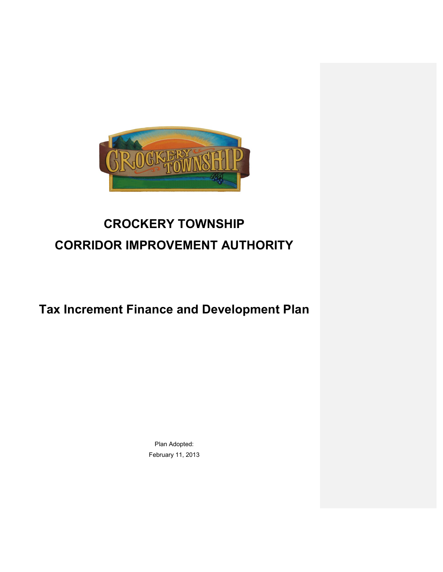

# CROCKERY TOWNSHIP CORRIDOR IMPROVEMENT AUTHORITY

Tax Increment Finance and Development Plan

Plan Adopted: February 11, 2013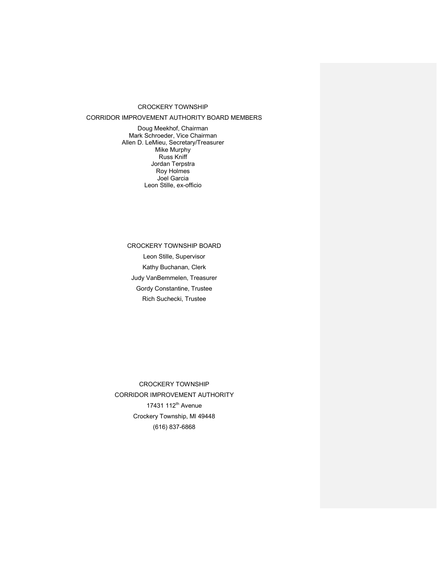#### CROCKERY TOWNSHIP

# CORRIDOR IMPROVEMENT AUTHORITY BOARD MEMBERS

Doug Meekhof, Chairman Mark Schroeder, Vice Chairman Allen D. LeMieu, Secretary/Treasurer Mike Murphy Russ Kniff Jordan Terpstra Roy Holmes Joel Garcia Leon Stille, ex-officio

CROCKERY TOWNSHIP BOARD Leon Stille, Supervisor Kathy Buchanan, Clerk Judy VanBemmelen, Treasurer Gordy Constantine, Trustee Rich Suchecki, Trustee

CROCKERY TOWNSHIP CORRIDOR IMPROVEMENT AUTHORITY 17431 112th Avenue Crockery Township, Ml 49448 (616) 837-6868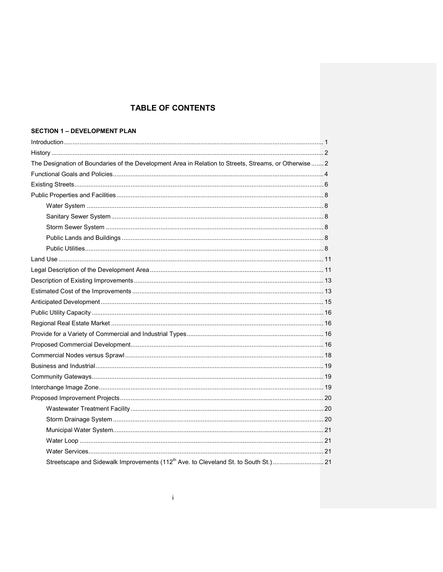# **TABLE OF CONTENTS**

| <b>SECTION 1 - DEVELOPMENT PLAN</b>                                                                    |  |
|--------------------------------------------------------------------------------------------------------|--|
|                                                                                                        |  |
|                                                                                                        |  |
| The Designation of Boundaries of the Development Area in Relation to Streets, Streams, or Otherwise  2 |  |
|                                                                                                        |  |
|                                                                                                        |  |
|                                                                                                        |  |
|                                                                                                        |  |
|                                                                                                        |  |
|                                                                                                        |  |
|                                                                                                        |  |
|                                                                                                        |  |
|                                                                                                        |  |
|                                                                                                        |  |
|                                                                                                        |  |
|                                                                                                        |  |
|                                                                                                        |  |
|                                                                                                        |  |
|                                                                                                        |  |
|                                                                                                        |  |
|                                                                                                        |  |
|                                                                                                        |  |
|                                                                                                        |  |
|                                                                                                        |  |
|                                                                                                        |  |
|                                                                                                        |  |
|                                                                                                        |  |
|                                                                                                        |  |
|                                                                                                        |  |
|                                                                                                        |  |
|                                                                                                        |  |
| Streetscape and Sidewalk Improvements (112 <sup>th</sup> Ave. to Cleveland St. to South St.) 21        |  |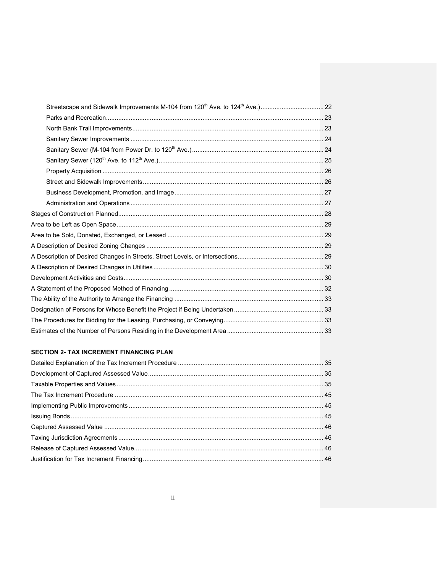# **SECTION 2- TAX INCREMENT FINANCING PLAN**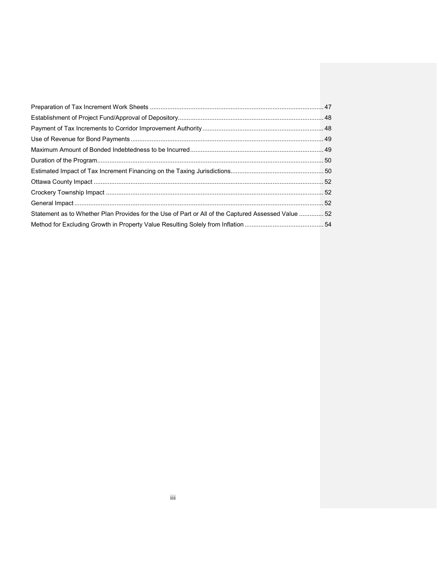| 5252 Statement as to Whether Plan Provides for the Use of Part or All of the Captured Assessed Value |  |
|------------------------------------------------------------------------------------------------------|--|
|                                                                                                      |  |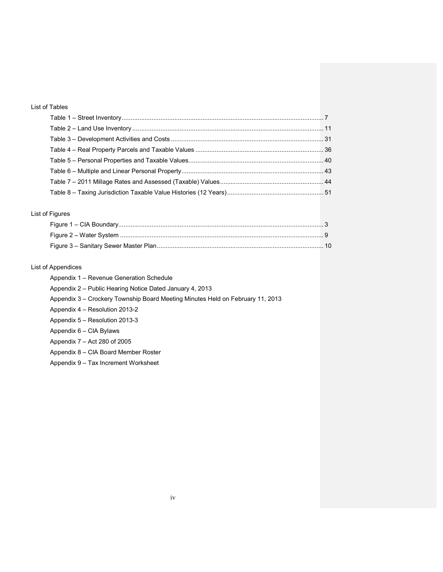| List of Tables |  |
|----------------|--|
|                |  |
|                |  |
|                |  |
|                |  |
|                |  |
|                |  |
|                |  |
|                |  |

# List of Figures

# List of Appendices

| Appendix 1 – Revenue Generation Schedule                                       |
|--------------------------------------------------------------------------------|
| Appendix 2 – Public Hearing Notice Dated January 4, 2013                       |
| Appendix 3 – Crockery Township Board Meeting Minutes Held on February 11, 2013 |
| Appendix 4 – Resolution 2013-2                                                 |
| Appendix 5 - Resolution 2013-3                                                 |
| Appendix 6 - CIA Bylaws                                                        |
| Appendix 7 – Act 280 of 2005                                                   |
| Appendix 8 – CIA Board Member Roster                                           |
| Appendix 9 – Tax Increment Worksheet                                           |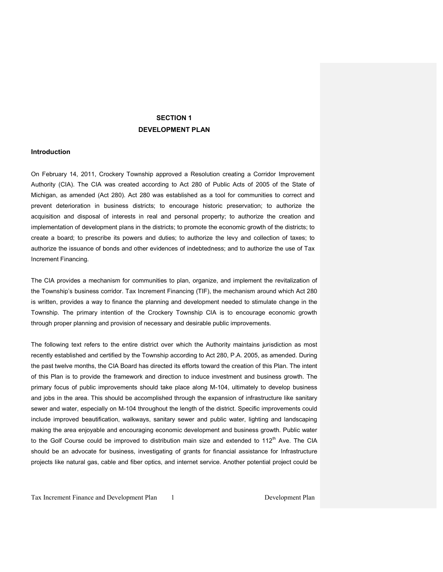# SECTION 1 DEVELOPMENT PLAN

#### Introduction

On February 14, 2011, Crockery Township approved a Resolution creating a Corridor Improvement Authority (CIA). The CIA was created according to Act 280 of Public Acts of 2005 of the State of Michigan, as amended (Act 280). Act 280 was established as a tool for communities to correct and prevent deterioration in business districts; to encourage historic preservation; to authorize the acquisition and disposal of interests in real and personal property; to authorize the creation and implementation of development plans in the districts; to promote the economic growth of the districts; to create a board; to prescribe its powers and duties; to authorize the levy and collection of taxes; to authorize the issuance of bonds and other evidences of indebtedness; and to authorize the use of Tax Increment Financing.

The CIA provides a mechanism for communities to plan, organize, and implement the revitalization of the Township's business corridor. Tax Increment Financing (TIF), the mechanism around which Act 280 is written, provides a way to finance the planning and development needed to stimulate change in the Township. The primary intention of the Crockery Township CIA is to encourage economic growth through proper planning and provision of necessary and desirable public improvements.

The following text refers to the entire district over which the Authority maintains jurisdiction as most recently established and certified by the Township according to Act 280, P.A. 2005, as amended. During the past twelve months, the CIA Board has directed its efforts toward the creation of this Plan. The intent of this Plan is to provide the framework and direction to induce investment and business growth. The primary focus of public improvements should take place along M-104, ultimately to develop business and jobs in the area. This should be accomplished through the expansion of infrastructure like sanitary sewer and water, especially on M-104 throughout the length of the district. Specific improvements could include improved beautification, walkways, sanitary sewer and public water, lighting and landscaping making the area enjoyable and encouraging economic development and business growth. Public water to the Golf Course could be improved to distribution main size and extended to  $112<sup>th</sup>$  Ave. The CIA should be an advocate for business, investigating of grants for financial assistance for Infrastructure projects like natural gas, cable and fiber optics, and internet service. Another potential project could be

Tax Increment Finance and Development Plan 1 Development Plan Development Plan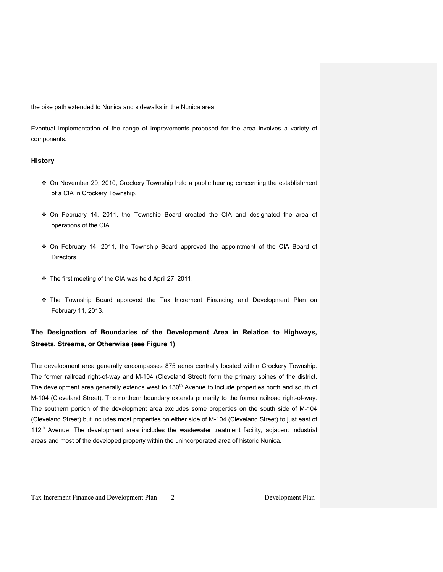the bike path extended to Nunica and sidewalks in the Nunica area.

Eventual implementation of the range of improvements proposed for the area involves a variety of components.

#### **History**

- On November 29, 2010, Crockery Township held a public hearing concerning the establishment of a CIA in Crockery Township.
- On February 14, 2011, the Township Board created the CIA and designated the area of operations of the CIA.
- On February 14, 2011, the Township Board approved the appointment of the CIA Board of Directors.
- \* The first meeting of the CIA was held April 27, 2011.
- The Township Board approved the Tax Increment Financing and Development Plan on February 11, 2013.

# The Designation of Boundaries of the Development Area in Relation to Highways, Streets, Streams, or Otherwise (see Figure 1)

The development area generally encompasses 875 acres centrally located within Crockery Township. The former railroad right-of-way and M-104 (Cleveland Street) form the primary spines of the district. The development area generally extends west to 130<sup>th</sup> Avenue to include properties north and south of M-104 (Cleveland Street). The northern boundary extends primarily to the former railroad right-of-way. The southern portion of the development area excludes some properties on the south side of M-104 (Cleveland Street) but includes most properties on either side of M-104 (Cleveland Street) to just east of 112<sup>th</sup> Avenue. The development area includes the wastewater treatment facility, adjacent industrial areas and most of the developed property within the unincorporated area of historic Nunica.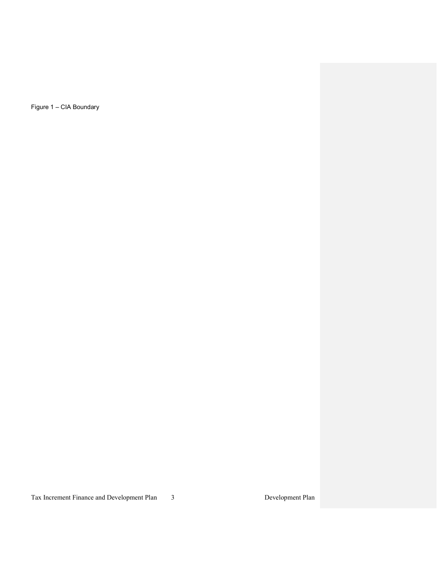Figure 1 – CIA Boundary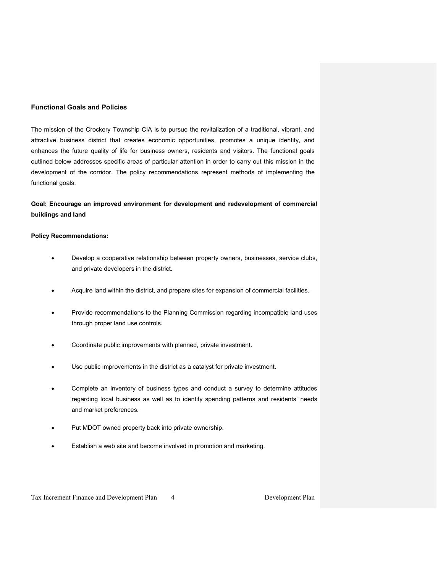### Functional Goals and Policies

The mission of the Crockery Township CIA is to pursue the revitalization of a traditional, vibrant, and attractive business district that creates economic opportunities, promotes a unique identity, and enhances the future quality of life for business owners, residents and visitors. The functional goals outlined below addresses specific areas of particular attention in order to carry out this mission in the development of the corridor. The policy recommendations represent methods of implementing the functional goals.

# Goal: Encourage an improved environment for development and redevelopment of commercial buildings and land

#### Policy Recommendations:

- Develop a cooperative relationship between property owners, businesses, service clubs, and private developers in the district.
- Acquire land within the district, and prepare sites for expansion of commercial facilities.
- Provide recommendations to the Planning Commission regarding incompatible land uses through proper land use controls.
- Coordinate public improvements with planned, private investment.
- Use public improvements in the district as a catalyst for private investment.
- Complete an inventory of business types and conduct a survey to determine attitudes regarding local business as well as to identify spending patterns and residents' needs and market preferences.
- Put MDOT owned property back into private ownership.
- Establish a web site and become involved in promotion and marketing.

Tax Increment Finance and Development Plan 4 Development Plan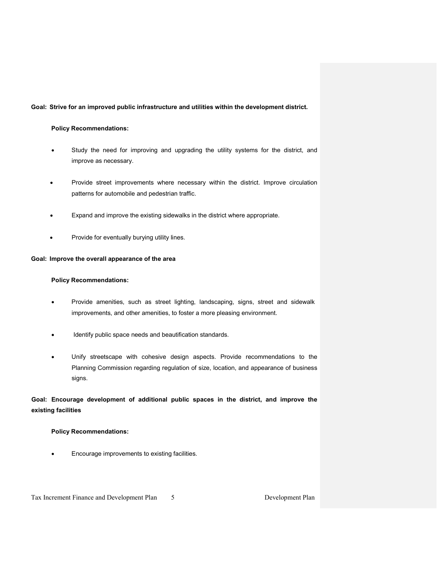#### Goal: Strive for an improved public infrastructure and utilities within the development district.

#### Policy Recommendations:

- Study the need for improving and upgrading the utility systems for the district, and improve as necessary.
- Provide street improvements where necessary within the district. Improve circulation patterns for automobile and pedestrian traffic.
- Expand and improve the existing sidewalks in the district where appropriate.
- Provide for eventually burying utility lines.

#### Goal: Improve the overall appearance of the area

#### Policy Recommendations:

- Provide amenities, such as street lighting, landscaping, signs, street and sidewalk improvements, and other amenities, to foster a more pleasing environment.
- **Identify public space needs and beautification standards.**
- Unify streetscape with cohesive design aspects. Provide recommendations to the Planning Commission regarding regulation of size, location, and appearance of business signs.

Goal: Encourage development of additional public spaces in the district, and improve the existing facilities

#### Policy Recommendations:

Encourage improvements to existing facilities.

Tax Increment Finance and Development Plan 5 5 Development Plan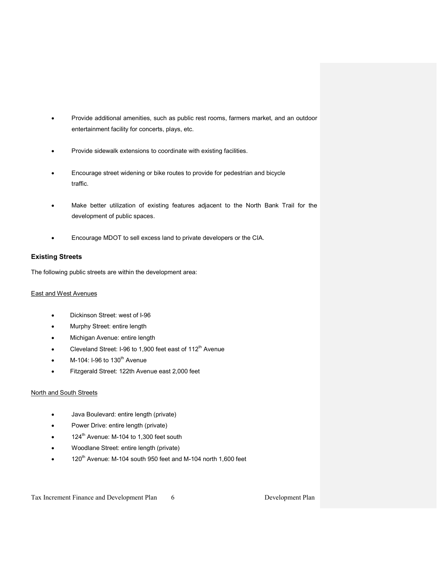- Provide additional amenities, such as public rest rooms, farmers market, and an outdoor entertainment facility for concerts, plays, etc.
- Provide sidewalk extensions to coordinate with existing facilities.
- Encourage street widening or bike routes to provide for pedestrian and bicycle traffic.
- Make better utilization of existing features adjacent to the North Bank Trail for the development of public spaces.
- Encourage MDOT to sell excess land to private developers or the CIA.

# Existing Streets

The following public streets are within the development area:

# East and West Avenues

- Dickinson Street: west of I-96
- Murphy Street: entire length
- Michigan Avenue: entire length
- Cleveland Street: I-96 to 1,900 feet east of 112<sup>th</sup> Avenue
- M-104: I-96 to 130<sup>th</sup> Avenue
- Fitzgerald Street: 122th Avenue east 2,000 feet

# North and South Streets

- Java Boulevard: entire length (private)
- Power Drive: entire length (private)
- 124<sup>th</sup> Avenue: M-104 to 1,300 feet south
- Woodlane Street: entire length (private)
- 120<sup>th</sup> Avenue: M-104 south 950 feet and M-104 north 1,600 feet

Tax Increment Finance and Development Plan 6 Development Plan Development Plan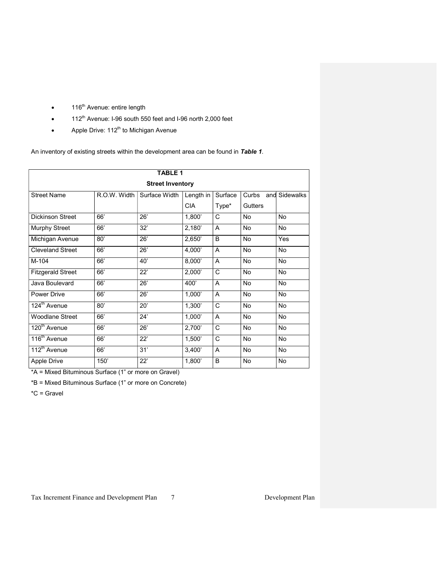- 116<sup>th</sup> Avenue: entire length
- 112<sup>th</sup> Avenue: I-96 south 550 feet and I-96 north 2,000 feet
- $\bullet$  Apple Drive: 112<sup>th</sup> to Michigan Avenue

An inventory of existing streets within the development area can be found in Table 1.

| <b>TABLE 1</b>           |              |                 |            |         |                     |           |
|--------------------------|--------------|-----------------|------------|---------|---------------------|-----------|
| <b>Street Inventory</b>  |              |                 |            |         |                     |           |
| <b>Street Name</b>       | R.O.W. Width | Surface Width   | Length in  | Surface | Curbs and Sidewalks |           |
|                          |              |                 | <b>CIA</b> | Type*   | Gutters             |           |
| <b>Dickinson Street</b>  | 66'          | 26'             | 1,800'     | C       | No                  | <b>No</b> |
| <b>Murphy Street</b>     | 66'          | 32'             | 2,180'     | A       | No                  | <b>No</b> |
| Michigan Avenue          | 80'          | 26'             | 2,650'     | B       | No                  | Yes       |
| <b>Cleveland Street</b>  | 66'          | 26'             | 4,000'     | A       | No                  | No        |
| M-104                    | 66'          | 40'             | 8,000'     | A       | No                  | <b>No</b> |
| <b>Fitzgerald Street</b> | 66'          | 22'             | 2,000'     | C       | No                  | <b>No</b> |
| Java Boulevard           | 66'          | 26'             | 400'       | A       | No                  | No        |
| <b>Power Drive</b>       | 66'          | 26'             | 1,000'     | A       | No                  | No        |
| 124 <sup>th</sup> Avenue | 80'          | 20'             | 1,300'     | C       | No                  | <b>No</b> |
| <b>Woodlane Street</b>   | 66'          | 24'             | 1,000'     | A       | No                  | No        |
| 120 <sup>th</sup> Avenue | 66'          | 26'             | 2,700'     | C       | No                  | <b>No</b> |
| 116 <sup>th</sup> Avenue | 66'          | $\overline{22}$ | 1,500'     | C       | No                  | <b>No</b> |
| 112 <sup>th</sup> Avenue | 66'          | 31'             | 3,400'     | A       | No                  | <b>No</b> |
| Apple Drive              | 150'         | 22'             | 1,800'     | B       | No                  | No        |

\*A = Mixed Bituminous Surface (1" or more on Gravel)

\*B = Mixed Bituminous Surface (1" or more on Concrete)

\*C = Gravel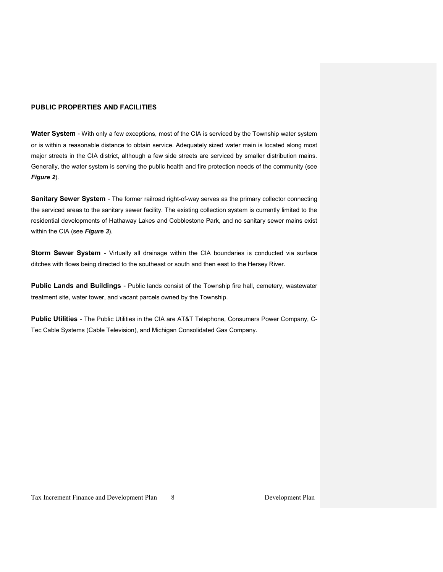# PUBLIC PROPERTIES AND FACILITIES

Water System - With only a few exceptions, most of the CIA is serviced by the Township water system or is within a reasonable distance to obtain service. Adequately sized water main is located along most major streets in the CIA district, although a few side streets are serviced by smaller distribution mains. Generally, the water system is serving the public health and fire protection needs of the community (see Figure 2).

Sanitary Sewer System - The former railroad right-of-way serves as the primary collector connecting the serviced areas to the sanitary sewer facility. The existing collection system is currently limited to the residential developments of Hathaway Lakes and Cobblestone Park, and no sanitary sewer mains exist within the CIA (see Figure 3).

Storm Sewer System - Virtually all drainage within the CIA boundaries is conducted via surface ditches with flows being directed to the southeast or south and then east to the Hersey River.

Public Lands and Buildings - Public lands consist of the Township fire hall, cemetery, wastewater treatment site, water tower, and vacant parcels owned by the Township.

Public Utilities - The Public Utilities in the CIA are AT&T Telephone, Consumers Power Company, C-Tec Cable Systems (Cable Television), and Michigan Consolidated Gas Company.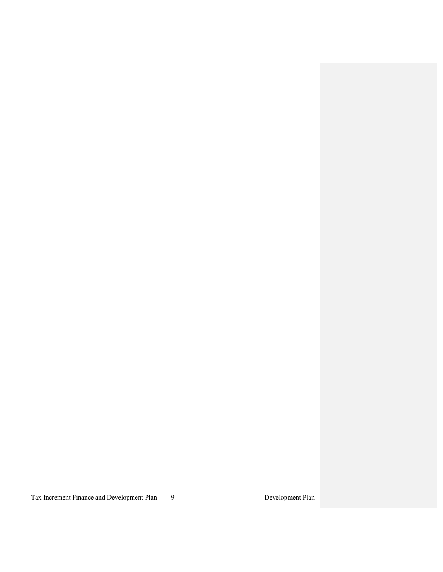Tax Increment Finance and Development Plan 9 9 Development Plan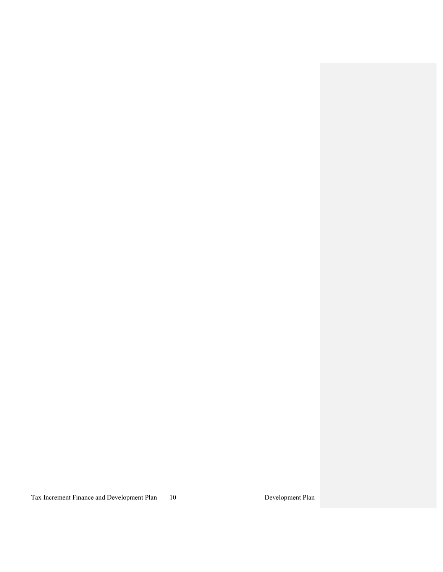Tax Increment Finance and Development Plan 10 Development Plan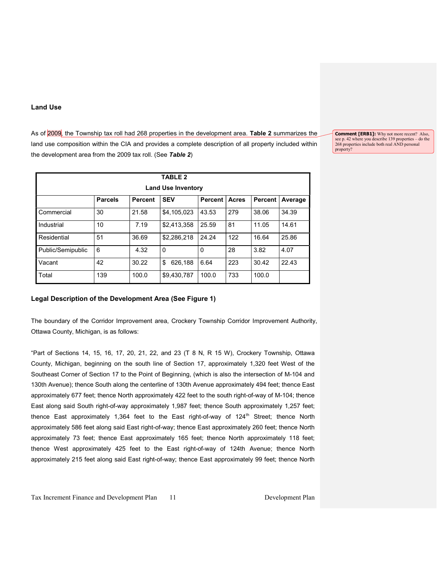#### Land Use

As of 2009, the Township tax roll had 268 properties in the development area. Table 2 summarizes the land use composition within the CIA and provides a complete description of all property included within the development area from the 2009 tax roll. (See Table 2)

| <b>TABLE 2</b>            |                |                |               |          |              |         |         |
|---------------------------|----------------|----------------|---------------|----------|--------------|---------|---------|
| <b>Land Use Inventory</b> |                |                |               |          |              |         |         |
|                           | <b>Parcels</b> | <b>Percent</b> | <b>SEV</b>    | Percent  | <b>Acres</b> | Percent | Average |
| Commercial                | 30             | 21.58          | \$4,105,023   | 43.53    | 279          | 38.06   | 34.39   |
| Industrial                | 10             | 7.19           | \$2,413,358   | 25.59    | 81           | 11.05   | 14.61   |
| Residential               | 51             | 36.69          | \$2,286,218   | 24.24    | 122          | 16.64   | 25.86   |
| Public/Semipublic         | 6              | 4.32           | $\Omega$      | $\Omega$ | 28           | 3.82    | 4.07    |
| Vacant                    | 42             | 30.22          | 626.188<br>\$ | 6.64     | 223          | 30.42   | 22.43   |
| Total                     | 139            | 100.0          | \$9,430,787   | 100.0    | 733          | 100.0   |         |

#### Legal Description of the Development Area (See Figure 1)

The boundary of the Corridor Improvement area, Crockery Township Corridor Improvement Authority, Ottawa County, Michigan, is as follows:

"Part of Sections 14, 15, 16, 17, 20, 21, 22, and 23 (T 8 N, R 15 W), Crockery Township, Ottawa County, Michigan, beginning on the south line of Section 17, approximately 1,320 feet West of the Southeast Corner of Section 17 to the Point of Beginning, (which is also the intersection of M-104 and 130th Avenue); thence South along the centerline of 130th Avenue approximately 494 feet; thence East approximately 677 feet; thence North approximately 422 feet to the south right-of-way of M-104; thence East along said South right-of-way approximately 1,987 feet; thence South approximately 1,257 feet; thence East approximately 1,364 feet to the East right-of-way of 124<sup>th</sup> Street; thence North approximately 586 feet along said East right-of-way; thence East approximately 260 feet; thence North approximately 73 feet; thence East approximately 165 feet; thence North approximately 118 feet; thence West approximately 425 feet to the East right-of-way of 124th Avenue; thence North approximately 215 feet along said East right-of-way; thence East approximately 99 feet; thence North

Tax Increment Finance and Development Plan 11 Development Plan

Comment [ERB1]: Why not more recent? Also, see p. 42 where you describe 139 properties – do the 268 properties include both real AND personal property?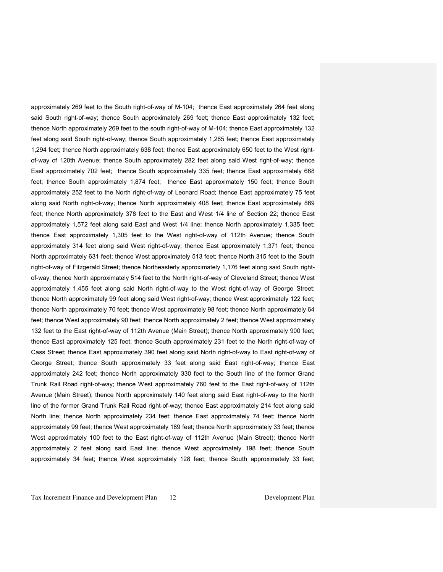approximately 269 feet to the South right-of-way of M-104; thence East approximately 264 feet along said South right-of-way; thence South approximately 269 feet; thence East approximately 132 feet; thence North approximately 269 feet to the south right-of-way of M-104; thence East approximately 132 feet along said South right-of-way; thence South approximately 1,265 feet; thence East approximately 1,294 feet; thence North approximately 638 feet; thence East approximately 650 feet to the West rightof-way of 120th Avenue; thence South approximately 282 feet along said West right-of-way; thence East approximately 702 feet; thence South approximately 335 feet; thence East approximately 668 feet; thence South approximately 1,874 feet; thence East approximately 150 feet; thence South approximately 252 feet to the North right-of-way of Leonard Road; thence East approximately 75 feet along said North right-of-way; thence North approximately 408 feet; thence East approximately 869 feet; thence North approximately 378 feet to the East and West 1/4 line of Section 22; thence East approximately 1,572 feet along said East and West 1/4 line; thence North approximately 1,335 feet; thence East approximately 1,305 feet to the West right-of-way of 112th Avenue; thence South approximately 314 feet along said West right-of-way; thence East approximately 1,371 feet; thence North approximately 631 feet; thence West approximately 513 feet; thence North 315 feet to the South right-of-way of Fitzgerald Street; thence Northeasterly approximately 1,176 feet along said South rightof-way; thence North approximately 514 feet to the North right-of-way of Cleveland Street; thence West approximately 1,455 feet along said North right-of-way to the West right-of-way of George Street; thence North approximately 99 feet along said West right-of-way; thence West approximately 122 feet; thence North approximately 70 feet; thence West approximately 98 feet; thence North approximately 64 feet; thence West approximately 90 feet; thence North approximately 2 feet; thence West approximately 132 feet to the East right-of-way of 112th Avenue (Main Street); thence North approximately 900 feet; thence East approximately 125 feet; thence South approximately 231 feet to the North right-of-way of Cass Street; thence East approximately 390 feet along said North right-of-way to East right-of-way of George Street; thence South approximately 33 feet along said East right-of-way; thence East approximately 242 feet; thence North approximately 330 feet to the South line of the former Grand Trunk Rail Road right-of-way; thence West approximately 760 feet to the East right-of-way of 112th Avenue (Main Street); thence North approximately 140 feet along said East right-of-way to the North line of the former Grand Trunk Rail Road right-of-way; thence East approximately 214 feet along said North line; thence North approximately 234 feet; thence East approximately 74 feet; thence North approximately 99 feet; thence West approximately 189 feet; thence North approximately 33 feet; thence West approximately 100 feet to the East right-of-way of 112th Avenue (Main Street); thence North approximately 2 feet along said East line; thence West approximately 198 feet; thence South approximately 34 feet; thence West approximately 128 feet; thence South approximately 33 feet;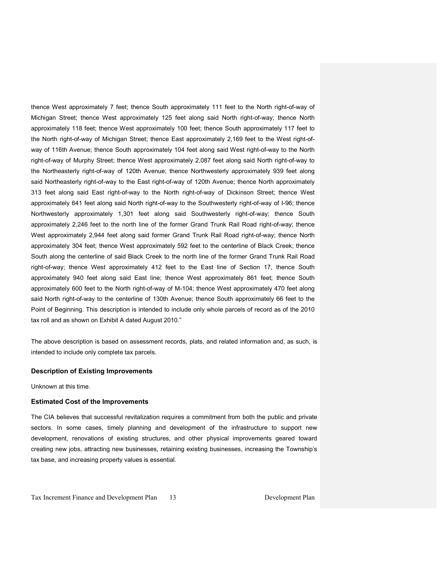thence West approximately 7 feet; thence South approximately 111 feet to the North right-of-way of Michigan Street; thence West approximately 125 feet along said North right-of-way; thence North approximately 118 feet; thence West approximately 100 feet; thence South approximately 117 feet to the North right-of-way of Michigan Street; thence East approximately 2,169 feet to the West right-ofway of 116th Avenue; thence South approximately 104 feet along said West right-of-way to the North right-of-way of Murphy Street; thence West approximately 2,087 feet along said North right-of-way to the Northeasterly right-of-way of 120th Avenue; thence Northwesterly approximately 939 feet along said Northeasterly right-of-way to the East right-of-way of 120th Avenue; thence North approximately 313 feet along said East right-of-way to the North right-of-way of Dickinson Street; thence West approximately 641 feet along said North right-of-way to the Southwesterly right-of-way of I-96; thence Northwesterly approximately 1,301 feet along said Southwesterly right-of-way; thence South approximately 2,246 feet to the north line of the former Grand Trunk Rail Road right-of-way; thence West approximately 2,944 feet along said former Grand Trunk Rail Road right-of-way; thence North approximately 304 feet; thence West approximately 592 feet to the centerline of Black Creek; thence South along the centerline of said Black Creek to the north line of the former Grand Trunk Rail Road right-of-way; thence West approximately 412 feet to the East line of Section 17, thence South approximately 940 feet along said East line; thence West approximately 861 feet; thence South approximately 600 feet to the North right-of-way of M-104; thence West approximately 470 feet along said North right-of-way to the centerline of 130th Avenue; thence South approximately 66 feet to the Point of Beginning. This description is intended to include only whole parcels of record as of the 2010 tax roll and as shown on Exhibit A dated August 2010."

The above description is based on assessment records, plats, and related information and, as such, is intended to include only complete tax parcels.

#### Description of Existing Improvements

Unknown at this time.

#### Estimated Cost of the Improvements

The CIA believes that successful revitalization requires a commitment from both the public and private sectors. In some cases, timely planning and development of the infrastructure to support new development, renovations of existing structures, and other physical improvements geared toward creating new jobs, attracting new businesses, retaining existing businesses, increasing the Township's tax base, and increasing property values is essential.

Tax Increment Finance and Development Plan 13 Development Plan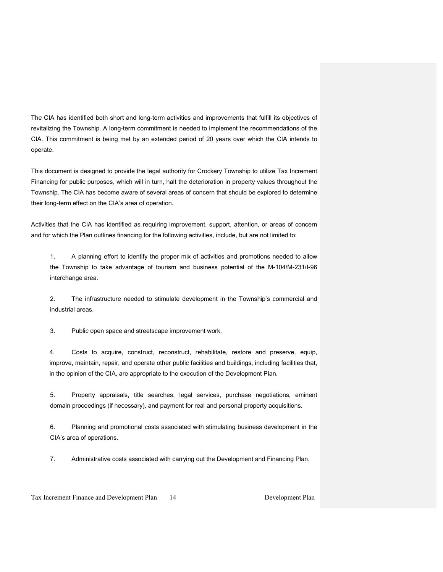The CIA has identified both short and long-term activities and improvements that fulfill its objectives of revitalizing the Township. A long-term commitment is needed to implement the recommendations of the CIA. This commitment is being met by an extended period of 20 years over which the CIA intends to operate.

This document is designed to provide the legal authority for Crockery Township to utilize Tax Increment Financing for public purposes, which will in turn, halt the deterioration in property values throughout the Township. The CIA has become aware of several areas of concern that should be explored to determine their long-term effect on the CIA's area of operation.

Activities that the CIA has identified as requiring improvement, support, attention, or areas of concern and for which the Plan outlines financing for the following activities, include, but are not limited to:

1. A planning effort to identify the proper mix of activities and promotions needed to allow the Township to take advantage of tourism and business potential of the M-104/M-231/I-96 interchange area.

2. The infrastructure needed to stimulate development in the Township's commercial and industrial areas.

3. Public open space and streetscape improvement work.

4. Costs to acquire, construct, reconstruct, rehabilitate, restore and preserve, equip, improve, maintain, repair, and operate other public facilities and buildings, including facilities that, in the opinion of the CIA, are appropriate to the execution of the Development Plan.

5. Property appraisals, title searches, legal services, purchase negotiations, eminent domain proceedings (if necessary), and payment for real and personal property acquisitions.

6. Planning and promotional costs associated with stimulating business development in the CIA's area of operations.

7. Administrative costs associated with carrying out the Development and Financing Plan.

Tax Increment Finance and Development Plan 14 Development Plan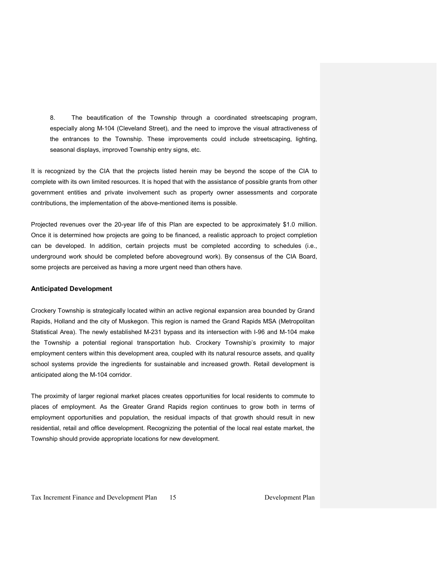8. The beautification of the Township through a coordinated streetscaping program, especially along M-104 (Cleveland Street), and the need to improve the visual attractiveness of the entrances to the Township. These improvements could include streetscaping, lighting, seasonal displays, improved Township entry signs, etc.

It is recognized by the CIA that the projects listed herein may be beyond the scope of the CIA to complete with its own limited resources. It is hoped that with the assistance of possible grants from other government entities and private involvement such as property owner assessments and corporate contributions, the implementation of the above-mentioned items is possible.

Projected revenues over the 20-year life of this Plan are expected to be approximately \$1.0 million. Once it is determined how projects are going to be financed, a realistic approach to project completion can be developed. In addition, certain projects must be completed according to schedules (i.e., underground work should be completed before aboveground work). By consensus of the CIA Board, some projects are perceived as having a more urgent need than others have.

#### Anticipated Development

Crockery Township is strategically located within an active regional expansion area bounded by Grand Rapids, Holland and the city of Muskegon. This region is named the Grand Rapids MSA (Metropolitan Statistical Area). The newly established M-231 bypass and its intersection with I-96 and M-104 make the Township a potential regional transportation hub. Crockery Township's proximity to major employment centers within this development area, coupled with its natural resource assets, and quality school systems provide the ingredients for sustainable and increased growth. Retail development is anticipated along the M-104 corridor.

The proximity of larger regional market places creates opportunities for local residents to commute to places of employment. As the Greater Grand Rapids region continues to grow both in terms of employment opportunities and population, the residual impacts of that growth should result in new residential, retail and office development. Recognizing the potential of the local real estate market, the Township should provide appropriate locations for new development.

Tax Increment Finance and Development Plan 15 Development Plan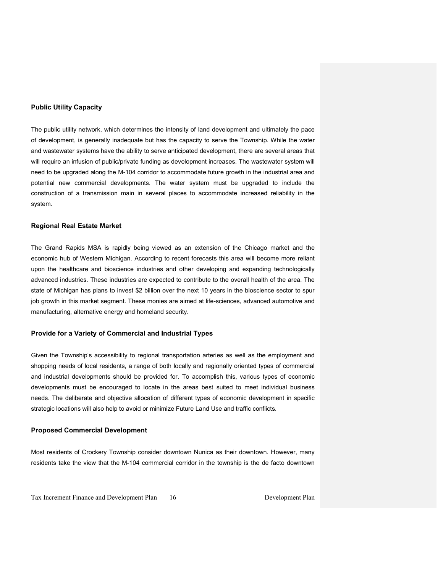### Public Utility Capacity

The public utility network, which determines the intensity of land development and ultimately the pace of development, is generally inadequate but has the capacity to serve the Township. While the water and wastewater systems have the ability to serve anticipated development, there are several areas that will require an infusion of public/private funding as development increases. The wastewater system will need to be upgraded along the M-104 corridor to accommodate future growth in the industrial area and potential new commercial developments. The water system must be upgraded to include the construction of a transmission main in several places to accommodate increased reliability in the system.

#### Regional Real Estate Market

The Grand Rapids MSA is rapidly being viewed as an extension of the Chicago market and the economic hub of Western Michigan. According to recent forecasts this area will become more reliant upon the healthcare and bioscience industries and other developing and expanding technologically advanced industries. These industries are expected to contribute to the overall health of the area. The state of Michigan has plans to invest \$2 billion over the next 10 years in the bioscience sector to spur job growth in this market segment. These monies are aimed at life-sciences, advanced automotive and manufacturing, alternative energy and homeland security.

#### Provide for a Variety of Commercial and Industrial Types

Given the Township's accessibility to regional transportation arteries as well as the employment and shopping needs of local residents, a range of both locally and regionally oriented types of commercial and industrial developments should be provided for. To accomplish this, various types of economic developments must be encouraged to locate in the areas best suited to meet individual business needs. The deliberate and objective allocation of different types of economic development in specific strategic locations will also help to avoid or minimize Future Land Use and traffic conflicts.

#### Proposed Commercial Development

Most residents of Crockery Township consider downtown Nunica as their downtown. However, many residents take the view that the M-104 commercial corridor in the township is the de facto downtown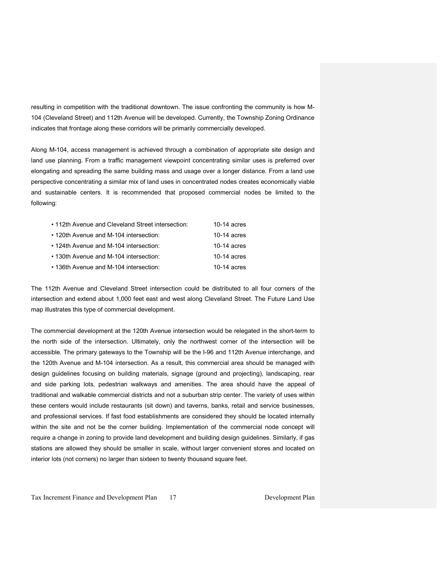resulting in competition with the traditional downtown. The issue confronting the community is how M-104 (Cleveland Street) and 112th Avenue will be developed. Currently, the Township Zoning Ordinance indicates that frontage along these corridors will be primarily commercially developed.

Along M-104, access management is achieved through a combination of appropriate site design and land use planning. From a traffic management viewpoint concentrating similar uses is preferred over elongating and spreading the same building mass and usage over a longer distance. From a land use perspective concentrating a similar mix of land uses in concentrated nodes creates economically viable and sustainable centers. It is recommended that proposed commercial nodes be limited to the following:

| • 112th Avenue and Cleveland Street intersection: | $10-14$ acres |
|---------------------------------------------------|---------------|
| • 120th Avenue and M-104 intersection:            | 10-14 $acres$ |
| • 124th Avenue and M-104 intersection:            | 10-14 $acres$ |
| • 130th Avenue and M-104 intersection:            | 10-14 $acres$ |
| • 136th Avenue and M-104 intersection:            | 10-14 $acres$ |

The 112th Avenue and Cleveland Street intersection could be distributed to all four corners of the intersection and extend about 1,000 feet east and west along Cleveland Street. The Future Land Use map illustrates this type of commercial development.

The commercial development at the 120th Avenue intersection would be relegated in the short-term to the north side of the intersection. Ultimately, only the northwest corner of the intersection will be accessible. The primary gateways to the Township will be the I-96 and 112th Avenue interchange, and the 120th Avenue and M-104 intersection. As a result, this commercial area should be managed with design guidelines focusing on building materials, signage (ground and projecting), landscaping, rear and side parking lots, pedestrian walkways and amenities. The area should have the appeal of traditional and walkable commercial districts and not a suburban strip center. The variety of uses within these centers would include restaurants (sit down) and taverns, banks, retail and service businesses, and professional services. If fast food establishments are considered they should be located internally within the site and not be the corner building. Implementation of the commercial node concept will require a change in zoning to provide land development and building design guidelines. Similarly, if gas stations are allowed they should be smaller in scale, without larger convenient stores and located on interior lots (not corners) no larger than sixteen to twenty thousand square feet.

Tax Increment Finance and Development Plan 17 Development Plan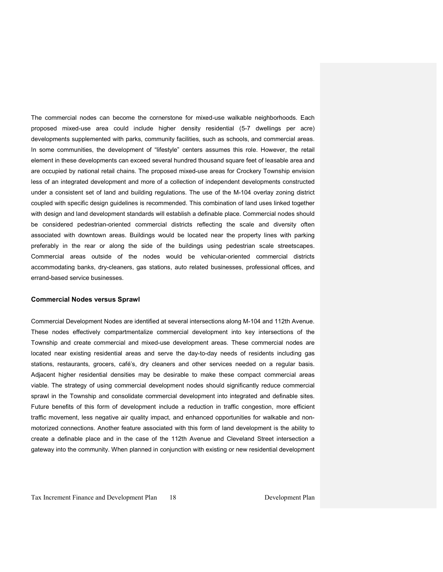The commercial nodes can become the cornerstone for mixed-use walkable neighborhoods. Each proposed mixed-use area could include higher density residential (5-7 dwellings per acre) developments supplemented with parks, community facilities, such as schools, and commercial areas. In some communities, the development of "lifestyle" centers assumes this role. However, the retail element in these developments can exceed several hundred thousand square feet of leasable area and are occupied by national retail chains. The proposed mixed-use areas for Crockery Township envision less of an integrated development and more of a collection of independent developments constructed under a consistent set of land and building regulations. The use of the M-104 overlay zoning district coupled with specific design guidelines is recommended. This combination of land uses linked together with design and land development standards will establish a definable place. Commercial nodes should be considered pedestrian-oriented commercial districts reflecting the scale and diversity often associated with downtown areas. Buildings would be located near the property lines with parking preferably in the rear or along the side of the buildings using pedestrian scale streetscapes. Commercial areas outside of the nodes would be vehicular-oriented commercial districts accommodating banks, dry-cleaners, gas stations, auto related businesses, professional offices, and errand-based service businesses.

#### Commercial Nodes versus Sprawl

Commercial Development Nodes are identified at several intersections along M-104 and 112th Avenue. These nodes effectively compartmentalize commercial development into key intersections of the Township and create commercial and mixed-use development areas. These commercial nodes are located near existing residential areas and serve the day-to-day needs of residents including gas stations, restaurants, grocers, café's, dry cleaners and other services needed on a regular basis. Adjacent higher residential densities may be desirable to make these compact commercial areas viable. The strategy of using commercial development nodes should significantly reduce commercial sprawl in the Township and consolidate commercial development into integrated and definable sites. Future benefits of this form of development include a reduction in traffic congestion, more efficient traffic movement, less negative air quality impact, and enhanced opportunities for walkable and nonmotorized connections. Another feature associated with this form of land development is the ability to create a definable place and in the case of the 112th Avenue and Cleveland Street intersection a gateway into the community. When planned in conjunction with existing or new residential development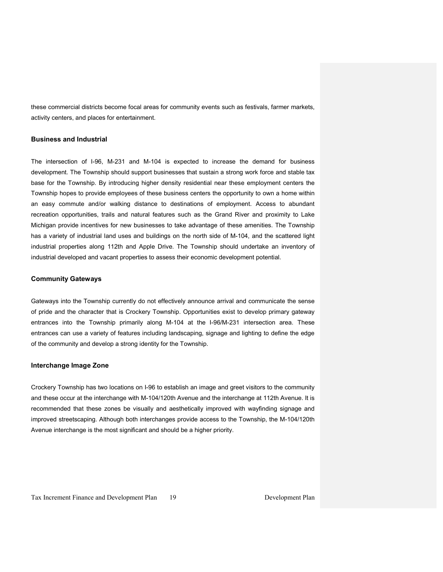these commercial districts become focal areas for community events such as festivals, farmer markets, activity centers, and places for entertainment.

#### Business and Industrial

The intersection of I-96, M-231 and M-104 is expected to increase the demand for business development. The Township should support businesses that sustain a strong work force and stable tax base for the Township. By introducing higher density residential near these employment centers the Township hopes to provide employees of these business centers the opportunity to own a home within an easy commute and/or walking distance to destinations of employment. Access to abundant recreation opportunities, trails and natural features such as the Grand River and proximity to Lake Michigan provide incentives for new businesses to take advantage of these amenities. The Township has a variety of industrial land uses and buildings on the north side of M-104, and the scattered light industrial properties along 112th and Apple Drive. The Township should undertake an inventory of industrial developed and vacant properties to assess their economic development potential.

#### Community Gateways

Gateways into the Township currently do not effectively announce arrival and communicate the sense of pride and the character that is Crockery Township. Opportunities exist to develop primary gateway entrances into the Township primarily along M-104 at the I-96/M-231 intersection area. These entrances can use a variety of features including landscaping, signage and lighting to define the edge of the community and develop a strong identity for the Township.

#### Interchange Image Zone

Crockery Township has two locations on I-96 to establish an image and greet visitors to the community and these occur at the interchange with M-104/120th Avenue and the interchange at 112th Avenue. It is recommended that these zones be visually and aesthetically improved with wayfinding signage and improved streetscaping. Although both interchanges provide access to the Township, the M-104/120th Avenue interchange is the most significant and should be a higher priority.

Tax Increment Finance and Development Plan 19 Development Plan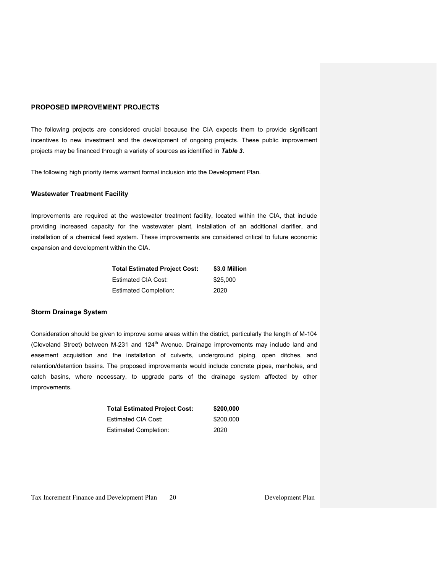# PROPOSED IMPROVEMENT PROJECTS

The following projects are considered crucial because the CIA expects them to provide significant incentives to new investment and the development of ongoing projects. These public improvement projects may be financed through a variety of sources as identified in Table 3.

The following high priority items warrant formal inclusion into the Development Plan.

#### Wastewater Treatment Facility

Improvements are required at the wastewater treatment facility, located within the CIA, that include providing increased capacity for the wastewater plant, installation of an additional clarifier, and installation of a chemical feed system. These improvements are considered critical to future economic expansion and development within the CIA.

| <b>Total Estimated Project Cost:</b> | \$3.0 Million |
|--------------------------------------|---------------|
| Estimated CIA Cost:                  | \$25,000      |
| <b>Estimated Completion:</b>         | 2020          |

#### Storm Drainage System

Consideration should be given to improve some areas within the district, particularly the length of M-104 (Cleveland Street) between M-231 and 124<sup>th</sup> Avenue. Drainage improvements may include land and easement acquisition and the installation of culverts, underground piping, open ditches, and retention/detention basins. The proposed improvements would include concrete pipes, manholes, and catch basins, where necessary, to upgrade parts of the drainage system affected by other improvements.

| <b>Total Estimated Project Cost:</b> | \$200,000 |
|--------------------------------------|-----------|
| Estimated CIA Cost:                  | \$200,000 |
| <b>Estimated Completion:</b>         | 2020      |

Tax Increment Finance and Development Plan 20 Development Plan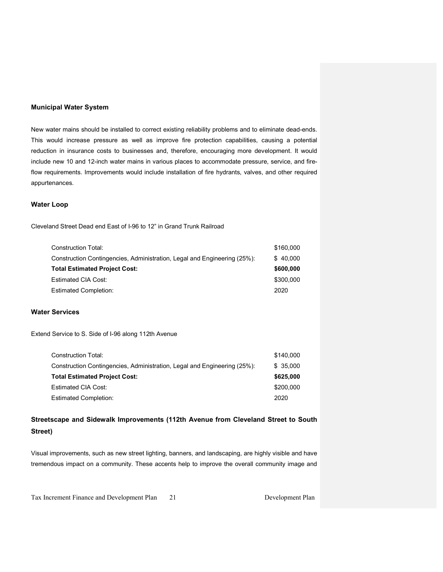### Municipal Water System

New water mains should be installed to correct existing reliability problems and to eliminate dead-ends. This would increase pressure as well as improve fire protection capabilities, causing a potential reduction in insurance costs to businesses and, therefore, encouraging more development. It would include new 10 and 12-inch water mains in various places to accommodate pressure, service, and fireflow requirements. Improvements would include installation of fire hydrants, valves, and other required appurtenances.

#### Water Loop

Cleveland Street Dead end East of I-96 to 12" in Grand Trunk Railroad

| <b>Construction Total:</b>                                               | \$160.000 |
|--------------------------------------------------------------------------|-----------|
| Construction Contingencies, Administration, Legal and Engineering (25%): | \$40,000  |
| <b>Total Estimated Project Cost:</b>                                     | \$600,000 |
| Estimated CIA Cost:                                                      | \$300,000 |
| <b>Estimated Completion:</b>                                             | 2020      |

### Water Services

Extend Service to S. Side of I-96 along 112th Avenue

| <b>Construction Total:</b>                                               | \$140,000 |
|--------------------------------------------------------------------------|-----------|
| Construction Contingencies, Administration, Legal and Engineering (25%): | \$35,000  |
| <b>Total Estimated Project Cost:</b>                                     | \$625,000 |
| Estimated CIA Cost:                                                      | \$200,000 |
| <b>Estimated Completion:</b>                                             | 2020      |

# Streetscape and Sidewalk Improvements (112th Avenue from Cleveland Street to South Street)

Visual improvements, such as new street lighting, banners, and landscaping, are highly visible and have tremendous impact on a community. These accents help to improve the overall community image and

Tax Increment Finance and Development Plan 21 Development Plan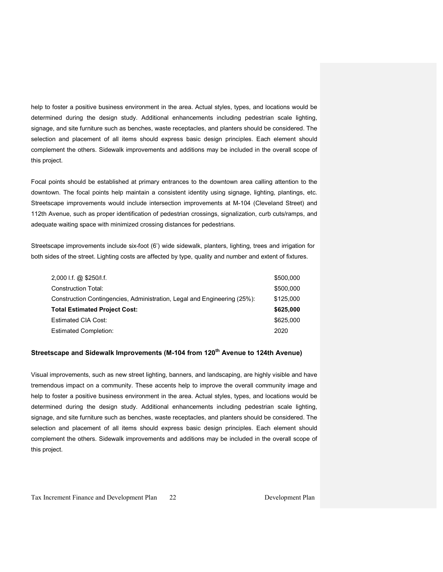help to foster a positive business environment in the area. Actual styles, types, and locations would be determined during the design study. Additional enhancements including pedestrian scale lighting, signage, and site furniture such as benches, waste receptacles, and planters should be considered. The selection and placement of all items should express basic design principles. Each element should complement the others. Sidewalk improvements and additions may be included in the overall scope of this project.

Focal points should be established at primary entrances to the downtown area calling attention to the downtown. The focal points help maintain a consistent identity using signage, lighting, plantings, etc. Streetscape improvements would include intersection improvements at M-104 (Cleveland Street) and 112th Avenue, such as proper identification of pedestrian crossings, signalization, curb cuts/ramps, and adequate waiting space with minimized crossing distances for pedestrians.

Streetscape improvements include six-foot (6') wide sidewalk, planters, lighting, trees and irrigation for both sides of the street. Lighting costs are affected by type, quality and number and extent of fixtures.

| 2,000 I.f. @ \$250/I.f.                                                  | \$500,000 |
|--------------------------------------------------------------------------|-----------|
| Construction Total:                                                      | \$500,000 |
| Construction Contingencies, Administration, Legal and Engineering (25%): | \$125,000 |
| <b>Total Estimated Project Cost:</b>                                     | \$625,000 |
| Estimated CIA Cost:                                                      | \$625,000 |
| <b>Estimated Completion:</b>                                             | 2020      |
|                                                                          |           |

# Streetscape and Sidewalk Improvements (M-104 from 120<sup>th</sup> Avenue to 124th Avenue)

Visual improvements, such as new street lighting, banners, and landscaping, are highly visible and have tremendous impact on a community. These accents help to improve the overall community image and help to foster a positive business environment in the area. Actual styles, types, and locations would be determined during the design study. Additional enhancements including pedestrian scale lighting, signage, and site furniture such as benches, waste receptacles, and planters should be considered. The selection and placement of all items should express basic design principles. Each element should complement the others. Sidewalk improvements and additions may be included in the overall scope of this project.

Tax Increment Finance and Development Plan 22 Development Plan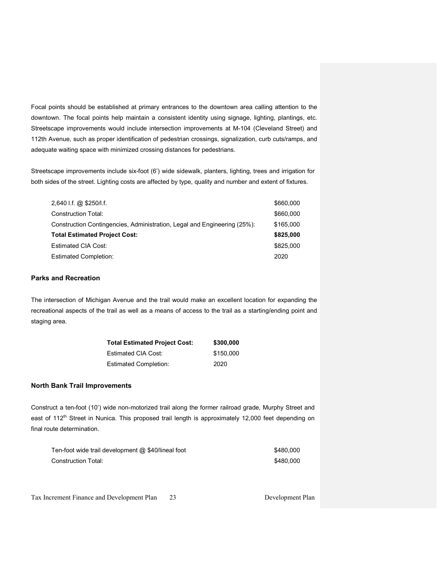Focal points should be established at primary entrances to the downtown area calling attention to the downtown. The focal points help maintain a consistent identity using signage, lighting, plantings, etc. Streetscape improvements would include intersection improvements at M-104 (Cleveland Street) and 112th Avenue, such as proper identification of pedestrian crossings, signalization, curb cuts/ramps, and adequate waiting space with minimized crossing distances for pedestrians.

Streetscape improvements include six-foot (6') wide sidewalk, planters, lighting, trees and irrigation for both sides of the street. Lighting costs are affected by type, quality and number and extent of fixtures.

| 2,640 l.f. @ \$250/l.f.                                                  | \$660,000 |
|--------------------------------------------------------------------------|-----------|
| Construction Total:                                                      | \$660,000 |
| Construction Contingencies, Administration, Legal and Engineering (25%): | \$165,000 |
| <b>Total Estimated Project Cost:</b>                                     | \$825,000 |
| Estimated CIA Cost:                                                      | \$825,000 |
| <b>Estimated Completion:</b>                                             | 2020      |

### Parks and Recreation

The intersection of Michigan Avenue and the trail would make an excellent location for expanding the recreational aspects of the trail as well as a means of access to the trail as a starting/ending point and staging area.

| <b>Total Estimated Project Cost:</b> | \$300,000 |
|--------------------------------------|-----------|
| Estimated CIA Cost:                  | \$150,000 |
| <b>Estimated Completion:</b>         | 2020      |

# North Bank Trail Improvements

Construct a ten-foot (10') wide non-motorized trail along the former railroad grade, Murphy Street and east of 112<sup>th</sup> Street in Nunica. This proposed trail length is approximately 12,000 feet depending on final route determination.

| Ten-foot wide trail development @ \$40/lineal foot | \$480.000 |
|----------------------------------------------------|-----------|
| <b>Construction Total:</b>                         | \$480,000 |

Tax Increment Finance and Development Plan 23 Development Plan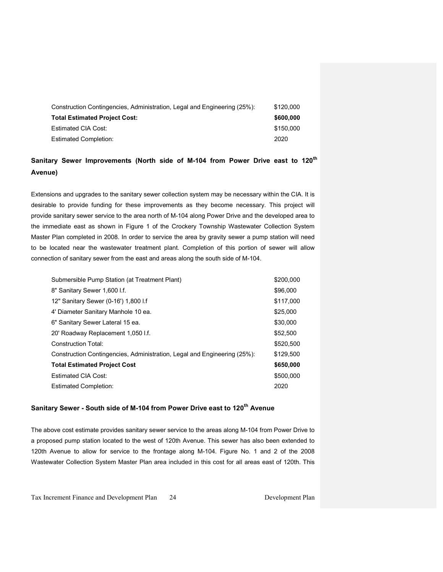| Construction Contingencies, Administration, Legal and Engineering (25%): | \$120,000 |
|--------------------------------------------------------------------------|-----------|
| <b>Total Estimated Project Cost:</b>                                     | \$600,000 |
| Estimated CIA Cost:                                                      | \$150,000 |
| <b>Estimated Completion:</b>                                             | 2020      |

# Sanitary Sewer Improvements (North side of M-104 from Power Drive east to 120<sup>th</sup> Avenue)

Extensions and upgrades to the sanitary sewer collection system may be necessary within the CIA. It is desirable to provide funding for these improvements as they become necessary. This project will provide sanitary sewer service to the area north of M-104 along Power Drive and the developed area to the immediate east as shown in Figure 1 of the Crockery Township Wastewater Collection System Master Plan completed in 2008. In order to service the area by gravity sewer a pump station will need to be located near the wastewater treatment plant. Completion of this portion of sewer will allow connection of sanitary sewer from the east and areas along the south side of M-104.

| Submersible Pump Station (at Treatment Plant)                            | \$200,000 |
|--------------------------------------------------------------------------|-----------|
| 8" Sanitary Sewer 1,600 I.f.                                             | \$96,000  |
| 12" Sanitary Sewer (0-16') 1,800 I.f                                     | \$117,000 |
| 4' Diameter Sanitary Manhole 10 ea.                                      | \$25,000  |
| 6" Sanitary Sewer Lateral 15 ea.                                         | \$30,000  |
| 20' Roadway Replacement 1,050 l.f.                                       | \$52,500  |
| Construction Total:                                                      | \$520,500 |
| Construction Contingencies, Administration, Legal and Engineering (25%): | \$129.500 |
| <b>Total Estimated Project Cost</b>                                      | \$650,000 |
| <b>Estimated CIA Cost:</b>                                               | \$500,000 |
| <b>Estimated Completion:</b>                                             | 2020      |

# Sanitary Sewer - South side of M-104 from Power Drive east to 120<sup>th</sup> Avenue

The above cost estimate provides sanitary sewer service to the areas along M-104 from Power Drive to a proposed pump station located to the west of 120th Avenue. This sewer has also been extended to 120th Avenue to allow for service to the frontage along M-104. Figure No. 1 and 2 of the 2008 Wastewater Collection System Master Plan area included in this cost for all areas east of 120th. This

Tax Increment Finance and Development Plan 24 Development Plan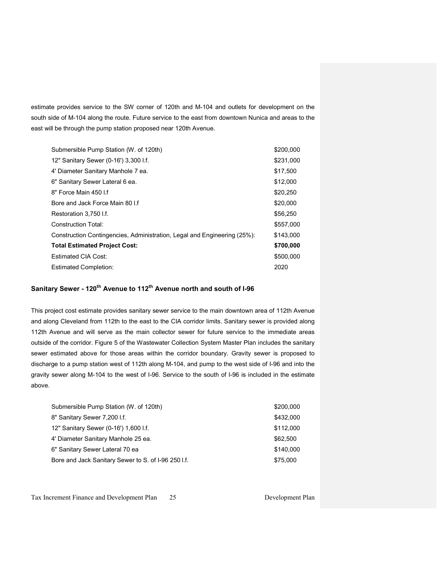estimate provides service to the SW corner of 120th and M-104 and outlets for development on the south side of M-104 along the route. Future service to the east from downtown Nunica and areas to the east will be through the pump station proposed near 120th Avenue.

| Submersible Pump Station (W. of 120th)                                   | \$200,000 |
|--------------------------------------------------------------------------|-----------|
| 12" Sanitary Sewer (0-16') 3,300 l.f.                                    | \$231,000 |
| 4' Diameter Sanitary Manhole 7 ea.                                       | \$17,500  |
| 6" Sanitary Sewer Lateral 6 ea.                                          | \$12,000  |
| 8" Force Main 450 Lf                                                     | \$20,250  |
| Bore and Jack Force Main 80 I.f                                          | \$20,000  |
| Restoration 3,750 I.f.                                                   | \$56,250  |
| Construction Total:                                                      | \$557,000 |
| Construction Contingencies, Administration, Legal and Engineering (25%): | \$143,000 |
| <b>Total Estimated Project Cost:</b>                                     | \$700,000 |
| <b>Estimated CIA Cost:</b>                                               | \$500,000 |
| <b>Estimated Completion:</b>                                             | 2020      |

# Sanitary Sewer - 120<sup>th</sup> Avenue to 112<sup>th</sup> Avenue north and south of I-96

This project cost estimate provides sanitary sewer service to the main downtown area of 112th Avenue and along Cleveland from 112th to the east to the CIA corridor limits. Sanitary sewer is provided along 112th Avenue and will serve as the main collector sewer for future service to the immediate areas outside of the corridor. Figure 5 of the Wastewater Collection System Master Plan includes the sanitary sewer estimated above for those areas within the corridor boundary. Gravity sewer is proposed to discharge to a pump station west of 112th along M-104, and pump to the west side of I-96 and into the gravity sewer along M-104 to the west of I-96. Service to the south of I-96 is included in the estimate above.

| Submersible Pump Station (W. of 120th)              | \$200,000 |
|-----------------------------------------------------|-----------|
| 8" Sanitary Sewer 7,200 I.f.                        | \$432,000 |
| 12" Sanitary Sewer (0-16') 1,600 I.f.               | \$112,000 |
| 4' Diameter Sanitary Manhole 25 ea.                 | \$62,500  |
| 6" Sanitary Sewer Lateral 70 ea                     | \$140,000 |
| Bore and Jack Sanitary Sewer to S. of I-96 250 I.f. | \$75,000  |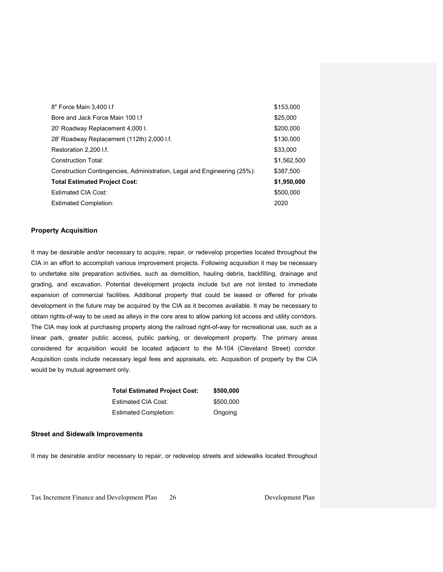| 8" Force Main 3.400 I.f                                                  | \$153,000   |
|--------------------------------------------------------------------------|-------------|
| Bore and Jack Force Main 100 I.f                                         | \$25,000    |
| 20' Roadway Replacement 4,000 I.                                         | \$200,000   |
| 28' Roadway Replacement (112th) 2,000 I.f.                               | \$130,000   |
| Restoration 2,200 I.f.                                                   | \$33,000    |
| <b>Construction Total:</b>                                               | \$1.562.500 |
| Construction Contingencies, Administration, Legal and Engineering (25%): | \$387.500   |
| <b>Total Estimated Project Cost:</b>                                     | \$1,950,000 |
| <b>Estimated CIA Cost:</b>                                               | \$500,000   |
| <b>Estimated Completion:</b>                                             | 2020        |

#### Property Acquisition

It may be desirable and/or necessary to acquire, repair, or redevelop properties located throughout the CIA in an effort to accomplish various improvement projects. Following acquisition it may be necessary to undertake site preparation activities, such as demolition, hauling debris, backfilling, drainage and grading, and excavation. Potential development projects include but are not limited to immediate expansion of commercial facilities. Additional property that could be leased or offered for private development in the future may be acquired by the CIA as it becomes available. It may be necessary to obtain rights-of-way to be used as alleys in the core area to allow parking lot access and utility corridors. The CIA may look at purchasing property along the railroad right-of-way for recreational use, such as a linear park, greater public access, public parking, or development property. The primary areas considered for acquisition would be located adjacent to the M-104 (Cleveland Street) corridor. Acquisition costs include necessary legal fees and appraisals, etc. Acquisition of property by the CIA would be by mutual agreement only.

| <b>Total Estimated Project Cost:</b> | \$500,000 |
|--------------------------------------|-----------|
| Estimated CIA Cost:                  | \$500,000 |
| <b>Estimated Completion:</b>         | Ongoing   |

#### Street and Sidewalk Improvements

It may be desirable and/or necessary to repair, or redevelop streets and sidewalks located throughout

Tax Increment Finance and Development Plan 26 Development Plan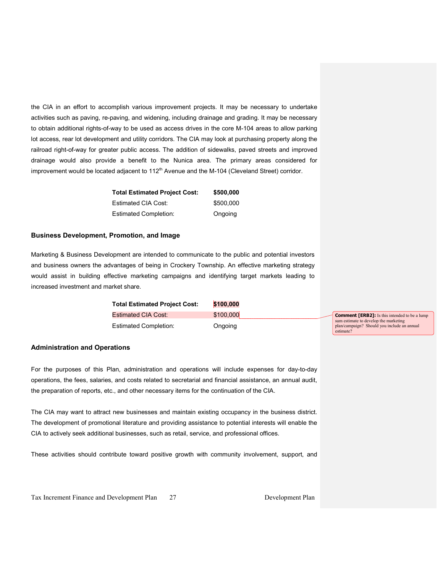the CIA in an effort to accomplish various improvement projects. It may be necessary to undertake activities such as paving, re-paving, and widening, including drainage and grading. It may be necessary to obtain additional rights-of-way to be used as access drives in the core M-104 areas to allow parking lot access, rear lot development and utility corridors. The CIA may look at purchasing property along the railroad right-of-way for greater public access. The addition of sidewalks, paved streets and improved drainage would also provide a benefit to the Nunica area. The primary areas considered for improvement would be located adjacent to 112<sup>th</sup> Avenue and the M-104 (Cleveland Street) corridor.

| <b>Total Estimated Project Cost:</b> | \$500,000 |
|--------------------------------------|-----------|
| <b>Estimated CIA Cost:</b>           | \$500,000 |
| <b>Estimated Completion:</b>         | Ongoing   |

#### Business Development, Promotion, and Image

Marketing & Business Development are intended to communicate to the public and potential investors and business owners the advantages of being in Crockery Township. An effective marketing strategy would assist in building effective marketing campaigns and identifying target markets leading to increased investment and market share.

| <b>Total Estimated Project Cost:</b> | \$100.000 |
|--------------------------------------|-----------|
| <b>Estimated CIA Cost:</b>           | \$100,000 |
| <b>Estimated Completion:</b>         | Ongoing   |

Administration and Operations

For the purposes of this Plan, administration and operations will include expenses for day-to-day operations, the fees, salaries, and costs related to secretarial and financial assistance, an annual audit, the preparation of reports, etc., and other necessary items for the continuation of the CIA.

The CIA may want to attract new businesses and maintain existing occupancy in the business district. The development of promotional literature and providing assistance to potential interests will enable the CIA to actively seek additional businesses, such as retail, service, and professional offices.

These activities should contribute toward positive growth with community involvement, support, and

Comment [ERB2]: Is this intended to be a lump sum estimate to develop the marketing plan/campaign? Should you include an annual estimate?

Tax Increment Finance and Development Plan 27 Development Plan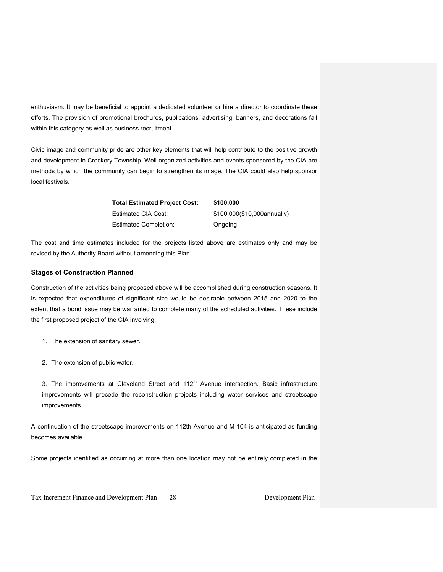enthusiasm. It may be beneficial to appoint a dedicated volunteer or hire a director to coordinate these efforts. The provision of promotional brochures, publications, advertising, banners, and decorations fall within this category as well as business recruitment.

Civic image and community pride are other key elements that will help contribute to the positive growth and development in Crockery Township. Well-organized activities and events sponsored by the CIA are methods by which the community can begin to strengthen its image. The CIA could also help sponsor local festivals.

> Total Estimated Project Cost: \$100,000 Estimated CIA Cost: \$100,000(\$10,000annually) Estimated Completion: Ongoing

The cost and time estimates included for the projects listed above are estimates only and may be revised by the Authority Board without amending this Plan.

#### Stages of Construction Planned

Construction of the activities being proposed above will be accomplished during construction seasons. It is expected that expenditures of significant size would be desirable between 2015 and 2020 to the extent that a bond issue may be warranted to complete many of the scheduled activities. These include the first proposed project of the CIA involving:

- 1. The extension of sanitary sewer.
- 2. The extension of public water.

3. The improvements at Cleveland Street and  $112<sup>th</sup>$  Avenue intersection. Basic infrastructure improvements will precede the reconstruction projects including water services and streetscape improvements.

A continuation of the streetscape improvements on 112th Avenue and M-104 is anticipated as funding becomes available.

Some projects identified as occurring at more than one location may not be entirely completed in the

Tax Increment Finance and Development Plan 28 Development Plan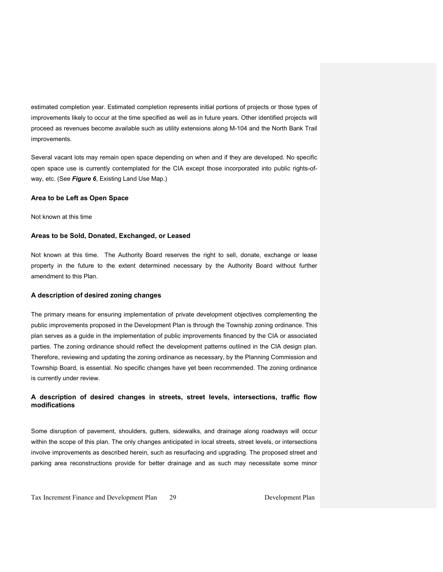estimated completion year. Estimated completion represents initial portions of projects or those types of improvements likely to occur at the time specified as well as in future years. Other identified projects will proceed as revenues become available such as utility extensions along M-104 and the North Bank Trail improvements.

Several vacant lots may remain open space depending on when and if they are developed. No specific open space use is currently contemplated for the CIA except those incorporated into public rights-ofway, etc. (See Figure 6, Existing Land Use Map.)

#### Area to be Left as Open Space

#### Not known at this time

#### Areas to be Sold, Donated, Exchanged, or Leased

Not known at this time. The Authority Board reserves the right to sell, donate, exchange or lease property in the future to the extent determined necessary by the Authority Board without further amendment to this Plan.

#### A description of desired zoning changes

The primary means for ensuring implementation of private development objectives complementing the public improvements proposed in the Development Plan is through the Township zoning ordinance. This plan serves as a guide in the implementation of public improvements financed by the CIA or associated parties. The zoning ordinance should reflect the development patterns outlined in the CIA design plan. Therefore, reviewing and updating the zoning ordinance as necessary, by the Planning Commission and Township Board, is essential. No specific changes have yet been recommended. The zoning ordinance is currently under review.

# A description of desired changes in streets, street levels, intersections, traffic flow modifications

Some disruption of pavement, shoulders, gutters, sidewalks, and drainage along roadways will occur within the scope of this plan. The only changes anticipated in local streets, street levels, or intersections involve improvements as described herein, such as resurfacing and upgrading. The proposed street and parking area reconstructions provide for better drainage and as such may necessitate some minor

Tax Increment Finance and Development Plan 29 Development Plan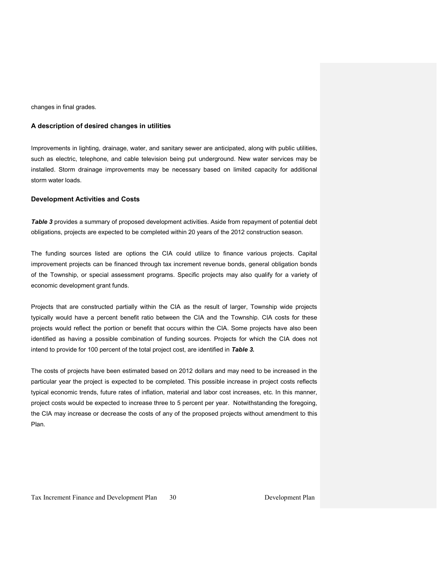changes in final grades.

#### A description of desired changes in utilities

Improvements in lighting, drainage, water, and sanitary sewer are anticipated, along with public utilities, such as electric, telephone, and cable television being put underground. New water services may be installed. Storm drainage improvements may be necessary based on limited capacity for additional storm water loads.

### Development Activities and Costs

Table 3 provides a summary of proposed development activities. Aside from repayment of potential debt obligations, projects are expected to be completed within 20 years of the 2012 construction season.

The funding sources listed are options the CIA could utilize to finance various projects. Capital improvement projects can be financed through tax increment revenue bonds, general obligation bonds of the Township, or special assessment programs. Specific projects may also qualify for a variety of economic development grant funds.

Projects that are constructed partially within the CIA as the result of larger, Township wide projects typically would have a percent benefit ratio between the CIA and the Township. CIA costs for these projects would reflect the portion or benefit that occurs within the CIA. Some projects have also been identified as having a possible combination of funding sources. Projects for which the CIA does not intend to provide for 100 percent of the total project cost, are identified in Table 3.

The costs of projects have been estimated based on 2012 dollars and may need to be increased in the particular year the project is expected to be completed. This possible increase in project costs reflects typical economic trends, future rates of inflation, material and labor cost increases, etc. In this manner, project costs would be expected to increase three to 5 percent per year. Notwithstanding the foregoing, the CIA may increase or decrease the costs of any of the proposed projects without amendment to this Plan.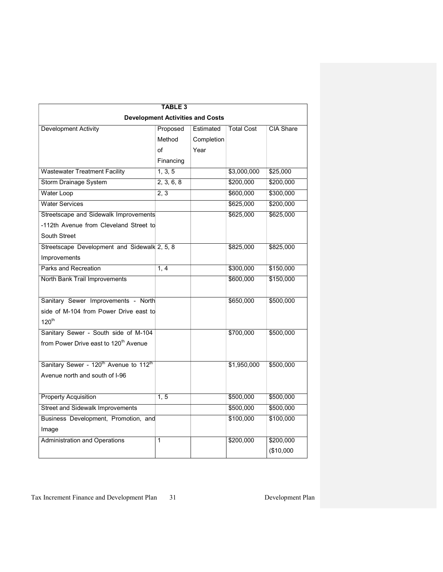| <b>TABLE 3</b>                                                 |            |            |                   |           |  |  |  |  |
|----------------------------------------------------------------|------------|------------|-------------------|-----------|--|--|--|--|
| <b>Development Activities and Costs</b>                        |            |            |                   |           |  |  |  |  |
| Development Activity                                           | Proposed   | Estimated  | <b>Total Cost</b> | CIA Share |  |  |  |  |
|                                                                | Method     | Completion |                   |           |  |  |  |  |
|                                                                | of         | Year       |                   |           |  |  |  |  |
|                                                                | Financing  |            |                   |           |  |  |  |  |
| <b>Wastewater Treatment Facility</b>                           | 1, 3, 5    |            | \$3,000,000       | \$25,000  |  |  |  |  |
| <b>Storm Drainage System</b>                                   | 2, 3, 6, 8 |            | \$200,000         | \$200,000 |  |  |  |  |
| <b>Water Loop</b>                                              | 2, 3       |            | \$600,000         | \$300,000 |  |  |  |  |
| <b>Water Services</b>                                          |            |            | \$625,000         | \$200,000 |  |  |  |  |
| Streetscape and Sidewalk Improvements                          |            |            | \$625,000         | \$625,000 |  |  |  |  |
| -112th Avenue from Cleveland Street to                         |            |            |                   |           |  |  |  |  |
| South Street                                                   |            |            |                   |           |  |  |  |  |
| Streetscape Development and Sidewalk 2, 5, 8                   |            |            | \$825,000         | \$825,000 |  |  |  |  |
| Improvements                                                   |            |            |                   |           |  |  |  |  |
| Parks and Recreation                                           | 1, 4       |            | \$300,000         | \$150,000 |  |  |  |  |
| North Bank Trail Improvements                                  |            |            | \$600,000         | \$150,000 |  |  |  |  |
|                                                                |            |            |                   |           |  |  |  |  |
| Sanitary Sewer Improvements - North                            |            |            | \$650,000         | \$500,000 |  |  |  |  |
| side of M-104 from Power Drive east to                         |            |            |                   |           |  |  |  |  |
| 120 <sup>th</sup>                                              |            |            |                   |           |  |  |  |  |
| Sanitary Sewer - South side of M-104                           |            |            | \$700,000         | \$500,000 |  |  |  |  |
| from Power Drive east to 120 <sup>th</sup> Avenue              |            |            |                   |           |  |  |  |  |
|                                                                |            |            |                   |           |  |  |  |  |
| Sanitary Sewer - 120 <sup>th</sup> Avenue to 112 <sup>th</sup> |            |            | \$1,950,000       | \$500,000 |  |  |  |  |
| Avenue north and south of I-96                                 |            |            |                   |           |  |  |  |  |
|                                                                |            |            |                   |           |  |  |  |  |
| <b>Property Acquisition</b>                                    | 1, 5       |            | \$500,000         | \$500,000 |  |  |  |  |
| <b>Street and Sidewalk Improvements</b>                        |            |            | \$500,000         | \$500,000 |  |  |  |  |
| Business Development, Promotion, and                           |            |            | \$100,000         | \$100,000 |  |  |  |  |
| Image                                                          |            |            |                   |           |  |  |  |  |
| <b>Administration and Operations</b>                           | 1          |            | \$200,000         | \$200,000 |  |  |  |  |
|                                                                |            |            |                   | (\$10,000 |  |  |  |  |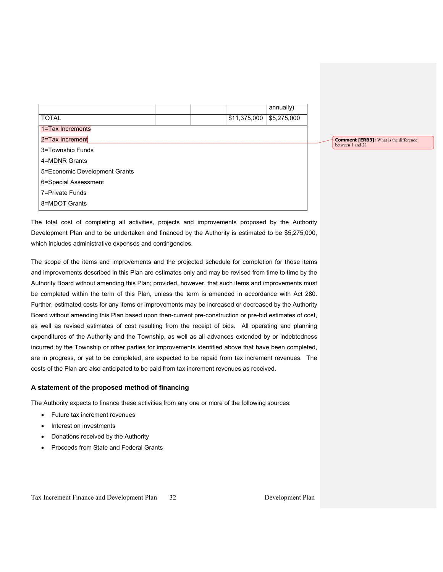|                               |              | annually)   |
|-------------------------------|--------------|-------------|
| <b>TOTAL</b>                  | \$11,375,000 | \$5,275,000 |
| 1=Tax Increments              |              |             |
| 2=Tax Increment               |              |             |
| 3=Township Funds              |              |             |
| 4=MDNR Grants                 |              |             |
| 5=Economic Development Grants |              |             |
| 6=Special Assessment          |              |             |
| 7=Private Funds               |              |             |
| 8=MDOT Grants                 |              |             |

Comment [ERB3]: What is the difference between 1 and 2?

The total cost of completing all activities, projects and improvements proposed by the Authority Development Plan and to be undertaken and financed by the Authority is estimated to be \$5,275,000, which includes administrative expenses and contingencies.

The scope of the items and improvements and the projected schedule for completion for those items and improvements described in this Plan are estimates only and may be revised from time to time by the Authority Board without amending this Plan; provided, however, that such items and improvements must be completed within the term of this Plan, unless the term is amended in accordance with Act 280. Further, estimated costs for any items or improvements may be increased or decreased by the Authority Board without amending this Plan based upon then-current pre-construction or pre-bid estimates of cost, as well as revised estimates of cost resulting from the receipt of bids. All operating and planning expenditures of the Authority and the Township, as well as all advances extended by or indebtedness incurred by the Township or other parties for improvements identified above that have been completed, are in progress, or yet to be completed, are expected to be repaid from tax increment revenues. The costs of the Plan are also anticipated to be paid from tax increment revenues as received.

#### A statement of the proposed method of financing

The Authority expects to finance these activities from any one or more of the following sources:

- Future tax increment revenues
- Interest on investments
- Donations received by the Authority
- Proceeds from State and Federal Grants

Tax Increment Finance and Development Plan 32 Development Plan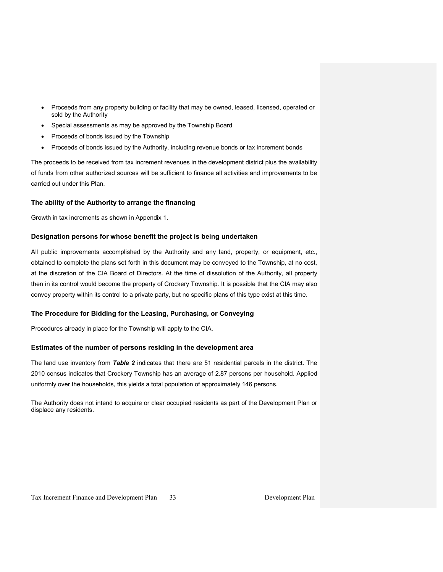- Proceeds from any property building or facility that may be owned, leased, licensed, operated or sold by the Authority
- Special assessments as may be approved by the Township Board
- Proceeds of bonds issued by the Township
- Proceeds of bonds issued by the Authority, including revenue bonds or tax increment bonds

The proceeds to be received from tax increment revenues in the development district plus the availability of funds from other authorized sources will be sufficient to finance all activities and improvements to be carried out under this Plan.

### The ability of the Authority to arrange the financing

Growth in tax increments as shown in Appendix 1.

#### Designation persons for whose benefit the project is being undertaken

All public improvements accomplished by the Authority and any land, property, or equipment, etc., obtained to complete the plans set forth in this document may be conveyed to the Township, at no cost, at the discretion of the CIA Board of Directors. At the time of dissolution of the Authority, all property then in its control would become the property of Crockery Township. It is possible that the CIA may also convey property within its control to a private party, but no specific plans of this type exist at this time.

### The Procedure for Bidding for the Leasing, Purchasing, or Conveying

Procedures already in place for the Township will apply to the CIA.

#### Estimates of the number of persons residing in the development area

The land use inventory from Table 2 indicates that there are 51 residential parcels in the district. The 2010 census indicates that Crockery Township has an average of 2.87 persons per household. Applied uniformly over the households, this yields a total population of approximately 146 persons.

The Authority does not intend to acquire or clear occupied residents as part of the Development Plan or displace any residents.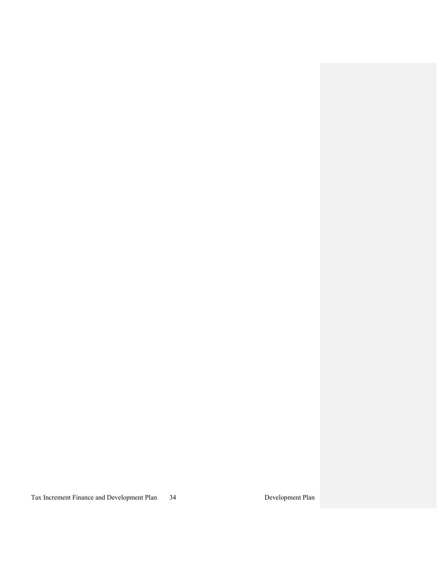Tax Increment Finance and Development Plan 34 Development Plan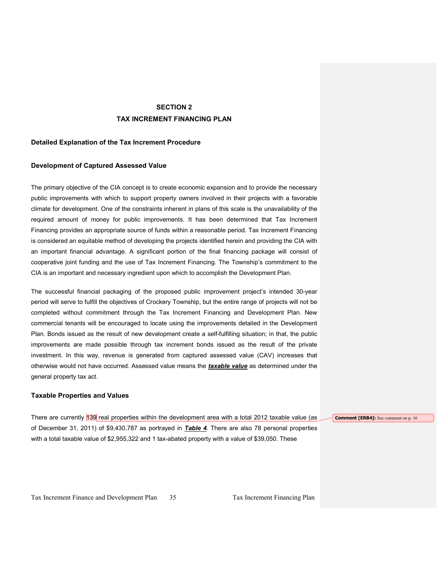# SECTION 2 TAX INCREMENT FINANCING PLAN

#### Detailed Explanation of the Tax Increment Procedure

#### Development of Captured Assessed Value

The primary objective of the CIA concept is to create economic expansion and to provide the necessary public improvements with which to support property owners involved in their projects with a favorable climate for development. One of the constraints inherent in plans of this scale is the unavailability of the required amount of money for public improvements. It has been determined that Tax Increment Financing provides an appropriate source of funds within a reasonable period. Tax Increment Financing is considered an equitable method of developing the projects identified herein and providing the CIA with an important financial advantage. A significant portion of the final financing package will consist of cooperative joint funding and the use of Tax Increment Financing. The Township's commitment to the CIA is an important and necessary ingredient upon which to accomplish the Development Plan.

The successful financial packaging of the proposed public improvement project's intended 30-year period will serve to fulfill the objectives of Crockery Township, but the entire range of projects will not be completed without commitment through the Tax Increment Financing and Development Plan. New commercial tenants will be encouraged to locate using the improvements detailed in the Development Plan. Bonds issued as the result of new development create a self-fulfilling situation; in that, the public improvements are made possible through tax increment bonds issued as the result of the private investment. In this way, revenue is generated from captured assessed value (CAV) increases that otherwise would not have occurred. Assessed value means the **taxable value** as determined under the general property tax act.

#### Taxable Properties and Values

There are currently 139 real properties within the development area with a total 2012 taxable value (as of December 31, 2011) of \$9,430,787 as portrayed in **Table 4**. There are also 78 personal properties with a total taxable value of \$2,955,322 and 1 tax-abated property with a value of \$39,050. These

Tax Increment Finance and Development Plan 35 Tax Increment Financing Plan

Comment [ERB4]: See comment on p. 16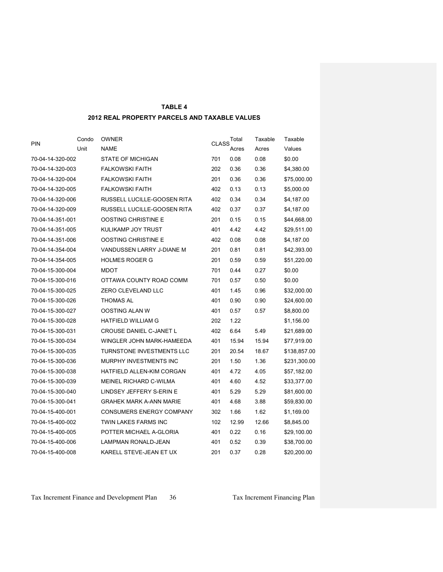# TABLE 4 2012 REAL PROPERTY PARCELS AND TAXABLE VALUES

| <b>PIN</b>       | Condo | <b>OWNER</b>                    | <b>CLASS</b> | Total | Taxable | Taxable      |
|------------------|-------|---------------------------------|--------------|-------|---------|--------------|
|                  | Unit  | <b>NAME</b>                     |              | Acres | Acres   | Values       |
| 70-04-14-320-002 |       | <b>STATE OF MICHIGAN</b>        | 701          | 0.08  | 0.08    | \$0.00       |
| 70-04-14-320-003 |       | <b>FALKOWSKI FAITH</b>          | 202          | 0.36  | 0.36    | \$4,380.00   |
| 70-04-14-320-004 |       | <b>FALKOWSKI FAITH</b>          | 201          | 0.36  | 0.36    | \$75,000.00  |
| 70-04-14-320-005 |       | <b>FALKOWSKI FAITH</b>          | 402          | 0.13  | 0.13    | \$5,000.00   |
| 70-04-14-320-006 |       | RUSSELL LUCILLE-GOOSEN RITA     | 402          | 0.34  | 0.34    | \$4,187.00   |
| 70-04-14-320-009 |       | RUSSELL LUCILLE-GOOSEN RITA     | 402          | 0.37  | 0.37    | \$4,187.00   |
| 70-04-14-351-001 |       | OOSTING CHRISTINE E             | 201          | 0.15  | 0.15    | \$44,668.00  |
| 70-04-14-351-005 |       | KULIKAMP JOY TRUST              | 401          | 4.42  | 4.42    | \$29,511.00  |
| 70-04-14-351-006 |       | <b>OOSTING CHRISTINE E</b>      | 402          | 0.08  | 0.08    | \$4,187.00   |
| 70-04-14-354-004 |       | VANDUSSEN LARRY J-DIANE M       | 201          | 0.81  | 0.81    | \$42,393.00  |
| 70-04-14-354-005 |       | <b>HOLMES ROGER G</b>           | 201          | 0.59  | 0.59    | \$51,220.00  |
| 70-04-15-300-004 |       | MDOT                            | 701          | 0.44  | 0.27    | \$0.00       |
| 70-04-15-300-016 |       | OTTAWA COUNTY ROAD COMM         | 701          | 0.57  | 0.50    | \$0.00       |
| 70-04-15-300-025 |       | ZERO CLEVELAND LLC              | 401          | 1.45  | 0.96    | \$32,000.00  |
| 70-04-15-300-026 |       | THOMAS AL                       | 401          | 0.90  | 0.90    | \$24,600.00  |
| 70-04-15-300-027 |       | OOSTING ALAN W                  | 401          | 0.57  | 0.57    | \$8,800.00   |
| 70-04-15-300-028 |       | <b>HATFIELD WILLIAM G</b>       | 202          | 1.22  |         | \$1,156.00   |
| 70-04-15-300-031 |       | CROUSE DANIEL C-JANET L         | 402          | 6.64  | 5.49    | \$21,689.00  |
| 70-04-15-300-034 |       | WINGLER JOHN MARK-HAMEEDA       | 401          | 15.94 | 15.94   | \$77,919.00  |
| 70-04-15-300-035 |       | TURNSTONE INVESTMENTS LLC       | 201          | 20.54 | 18.67   | \$138,857.00 |
| 70-04-15-300-036 |       | MURPHY INVESTMENTS INC          | 201          | 1.50  | 1.36    | \$231,300.00 |
| 70-04-15-300-038 |       | HATFIELD ALLEN-KIM CORGAN       | 401          | 4.72  | 4.05    | \$57,182.00  |
| 70-04-15-300-039 |       | MEINEL RICHARD C-WILMA          | 401          | 4.60  | 4.52    | \$33,377.00  |
| 70-04-15-300-040 |       | LINDSEY JEFFERY S-ERIN E        | 401          | 5.29  | 5.29    | \$81,600.00  |
| 70-04-15-300-041 |       | <b>GRAHEK MARK A-ANN MARIE</b>  | 401          | 4.68  | 3.88    | \$59,830.00  |
| 70-04-15-400-001 |       | <b>CONSUMERS ENERGY COMPANY</b> | 302          | 1.66  | 1.62    | \$1,169.00   |
| 70-04-15-400-002 |       | TWIN LAKES FARMS INC            | 102          | 12.99 | 12.66   | \$8,845.00   |
| 70-04-15-400-005 |       | POTTER MICHAEL A-GLORIA         | 401          | 0.22  | 0.16    | \$29,100.00  |
| 70-04-15-400-006 |       | <b>LAMPMAN RONALD-JEAN</b>      | 401          | 0.52  | 0.39    | \$38,700.00  |
| 70-04-15-400-008 |       | KARELL STEVE-JEAN ET UX         | 201          | 0.37  | 0.28    | \$20,200.00  |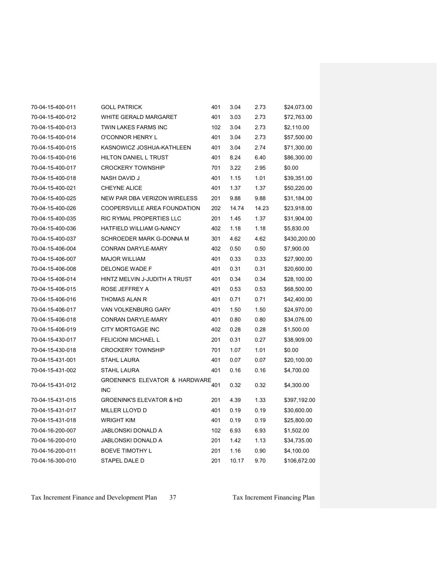| 70-04-15-400-011 | <b>GOLL PATRICK</b>                                     | 401 | 3.04  | 2.73  | \$24,073.00  |
|------------------|---------------------------------------------------------|-----|-------|-------|--------------|
| 70-04-15-400-012 | WHITE GERALD MARGARET                                   | 401 | 3.03  | 2.73  | \$72,763.00  |
| 70-04-15-400-013 | TWIN LAKES FARMS INC                                    | 102 | 3.04  | 2.73  | \$2,110.00   |
| 70-04-15-400-014 | O'CONNOR HENRY L                                        | 401 | 3.04  | 2.73  | \$57,500.00  |
| 70-04-15-400-015 | KASNOWICZ JOSHUA-KATHLEEN                               | 401 | 3.04  | 2.74  | \$71,300.00  |
| 70-04-15-400-016 | HILTON DANIEL L TRUST                                   | 401 | 8.24  | 6.40  | \$86,300.00  |
| 70-04-15-400-017 | <b>CROCKERY TOWNSHIP</b>                                | 701 | 3.22  | 2.95  | \$0.00       |
| 70-04-15-400-018 | NASH DAVID J                                            | 401 | 1.15  | 1.01  | \$39,351.00  |
| 70-04-15-400-021 | <b>CHEYNE ALICE</b>                                     | 401 | 1.37  | 1.37  | \$50,220.00  |
| 70-04-15-400-025 | NEW PAR DBA VERIZON WIRELESS                            | 201 | 9.88  | 9.88  | \$31,184.00  |
| 70-04-15-400-026 | COOPERSVILLE AREA FOUNDATION                            | 202 | 14.74 | 14.23 | \$23,918.00  |
| 70-04-15-400-035 | RIC RYMAL PROPERTIES LLC                                | 201 | 1.45  | 1.37  | \$31,904.00  |
| 70-04-15-400-036 | HATFIELD WILLIAM G-NANCY                                | 402 | 1.18  | 1.18  | \$5,830.00   |
| 70-04-15-400-037 | SCHROEDER MARK G-DONNA M                                | 301 | 4.62  | 4.62  | \$430,200.00 |
| 70-04-15-406-004 | CONRAN DARYLE-MARY                                      | 402 | 0.50  | 0.50  | \$7,900.00   |
| 70-04-15-406-007 | <b>MAJOR WILLIAM</b>                                    | 401 | 0.33  | 0.33  | \$27,900.00  |
| 70-04-15-406-008 | DELONGE WADE F                                          | 401 | 0.31  | 0.31  | \$20,600.00  |
| 70-04-15-406-014 | HINTZ MELVIN J-JUDITH A TRUST                           | 401 | 0.34  | 0.34  | \$28,100.00  |
| 70-04-15-406-015 | ROSE JEFFREY A                                          | 401 | 0.53  | 0.53  | \$68,500.00  |
| 70-04-15-406-016 | THOMAS ALAN R                                           | 401 | 0.71  | 0.71  | \$42,400.00  |
| 70-04-15-406-017 | VAN VOLKENBURG GARY                                     | 401 | 1.50  | 1.50  | \$24,970.00  |
| 70-04-15-406-018 | <b>CONRAN DARYLE-MARY</b>                               | 401 | 0.80  | 0.80  | \$34,076.00  |
| 70-04-15-406-019 | <b>CITY MORTGAGE INC</b>                                | 402 | 0.28  | 0.28  | \$1,500.00   |
| 70-04-15-430-017 | <b>FELICIONI MICHAEL L</b>                              | 201 | 0.31  | 0.27  | \$38,909.00  |
| 70-04-15-430-018 | <b>CROCKERY TOWNSHIP</b>                                | 701 | 1.07  | 1.01  | \$0.00       |
| 70-04-15-431-001 | <b>STAHL LAURA</b>                                      | 401 | 0.07  | 0.07  | \$20,100.00  |
| 70-04-15-431-002 | STAHL LAURA                                             | 401 | 0.16  | 0.16  | \$4,700.00   |
| 70-04-15-431-012 | <b>GROENINK'S ELEVATOR &amp; HARDWARE</b><br><b>INC</b> | 401 | 0.32  | 0.32  | \$4,300.00   |
| 70-04-15-431-015 | <b>GROENINK'S ELEVATOR &amp; HD</b>                     | 201 | 4.39  | 1.33  | \$397,192.00 |
| 70-04-15-431-017 | MILLER LLOYD D                                          | 401 | 0.19  | 0.19  | \$30,600.00  |
| 70-04-15-431-018 | <b>WRIGHT KIM</b>                                       | 401 | 0.19  | 0.19  | \$25,800.00  |
| 70-04-16-200-007 | JABLONSKI DONALD A                                      | 102 | 6.93  | 6.93  | \$1,502.00   |
| 70-04-16-200-010 | <b>JABLONSKI DONALD A</b>                               | 201 | 1.42  | 1.13  | \$34,735.00  |
| 70-04-16-200-011 | <b>BOEVE TIMOTHY L</b>                                  | 201 | 1.16  | 0.90  | \$4,100.00   |
| 70-04-16-300-010 | STAPEL DALE D                                           | 201 | 10.17 | 9.70  | \$106,672.00 |

Tax Increment Finance and Development Plan 37 Tax Increment Financing Plan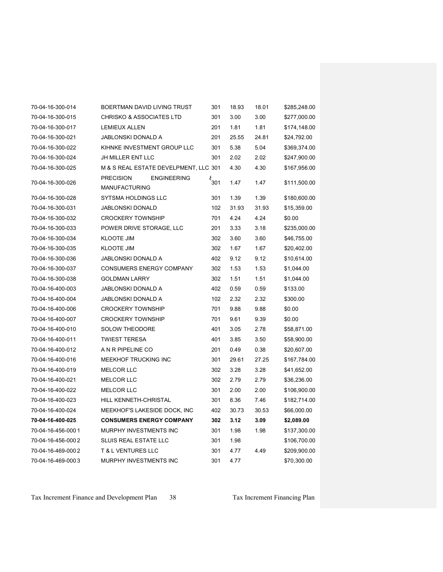| 70-04-16-300-014   | BOERTMAN DAVID LIVING TRUST                                    | 301      | 18.93 | 18.01 | \$285,248.00 |
|--------------------|----------------------------------------------------------------|----------|-------|-------|--------------|
| 70-04-16-300-015   | <b>CHRISKO &amp; ASSOCIATES LTD</b>                            | 301      | 3.00  | 3.00  | \$277,000.00 |
| 70-04-16-300-017   | <b>LEMIEUX ALLEN</b>                                           | 201      | 1.81  | 1.81  | \$174,148.00 |
| 70-04-16-300-021   | <b>JABLONSKI DONALD A</b>                                      | 201      | 25.55 | 24.81 | \$24,792.00  |
| 70-04-16-300-022   | KIHNKE INVESTMENT GROUP LLC                                    | 301      | 5.38  | 5.04  | \$369,374.00 |
| 70-04-16-300-024   | JH MILLER ENT LLC                                              | 301      | 2.02  | 2.02  | \$247,900.00 |
| 70-04-16-300-025   | M & S REAL ESTATE DEVELPMENT, LLC 301                          |          | 4.30  | 4.30  | \$167,956.00 |
| 70-04-16-300-026   | <b>PRECISION</b><br><b>ENGINEERING</b><br><b>MANUFACTURING</b> | ξ<br>301 | 1.47  | 1.47  | \$111,500.00 |
| 70-04-16-300-028   | SYTSMA HOLDINGS LLC                                            | 301      | 1.39  | 1.39  | \$180,600.00 |
| 70-04-16-300-031   | <b>JABLONSKI DONALD</b>                                        | 102      | 31.93 | 31.93 | \$15,359.00  |
| 70-04-16-300-032   | <b>CROCKERY TOWNSHIP</b>                                       | 701      | 4.24  | 4.24  | \$0.00       |
| 70-04-16-300-033   | POWER DRIVE STORAGE, LLC                                       | 201      | 3.33  | 3.18  | \$235,000.00 |
| 70-04-16-300-034   | <b>KLOOTE JIM</b>                                              | 302      | 3.60  | 3.60  | \$46,755.00  |
| 70-04-16-300-035   | <b>KLOOTE JIM</b>                                              | 302      | 1.67  | 1.67  | \$20,402.00  |
| 70-04-16-300-036   | JABLONSKI DONALD A                                             | 402      | 9.12  | 9.12  | \$10,614.00  |
| 70-04-16-300-037   | <b>CONSUMERS ENERGY COMPANY</b>                                | 302      | 1.53  | 1.53  | \$1,044.00   |
| 70-04-16-300-038   | <b>GOLDMAN LARRY</b>                                           | 302      | 1.51  | 1.51  | \$1,044.00   |
| 70-04-16-400-003   | JABLONSKI DONALD A                                             | 402      | 0.59  | 0.59  | \$133.00     |
| 70-04-16-400-004   | <b>JABLONSKI DONALD A</b>                                      | 102      | 2.32  | 2.32  | \$300.00     |
| 70-04-16-400-006   | <b>CROCKERY TOWNSHIP</b>                                       | 701      | 9.88  | 9.88  | \$0.00       |
| 70-04-16-400-007   | <b>CROCKERY TOWNSHIP</b>                                       | 701      | 9.61  | 9.39  | \$0.00       |
| 70-04-16-400-010   | <b>SOLOW THEODORE</b>                                          | 401      | 3.05  | 2.78  | \$58,871.00  |
| 70-04-16-400-011   | <b>TWIEST TERESA</b>                                           | 401      | 3.85  | 3.50  | \$58,900.00  |
| 70-04-16-400-012   | A N R PIPELINE CO                                              | 201      | 0.49  | 0.38  | \$20,607.00  |
| 70-04-16-400-016   | MEEKHOF TRUCKING INC                                           | 301      | 29.61 | 27.25 | \$167,784.00 |
| 70-04-16-400-019   | <b>MELCOR LLC</b>                                              | 302      | 3.28  | 3.28  | \$41,652.00  |
| 70-04-16-400-021   | <b>MELCOR LLC</b>                                              | 302      | 2.79  | 2.79  | \$36,236.00  |
| 70-04-16-400-022   | <b>MELCOR LLC</b>                                              | 301      | 2.00  | 2.00  | \$106,900.00 |
| 70-04-16-400-023   | HILL KENNETH-CHRISTAL                                          | 301      | 8.36  | 7.46  | \$182,714.00 |
| 70-04-16-400-024   | MEEKHOF'S LAKESIDE DOCK, INC                                   | 402      | 30.73 | 30.53 | \$66,000.00  |
| 70-04-16-400-025   | <b>CONSUMERS ENERGY COMPANY</b>                                | 302      | 3.12  | 3.09  | \$2,089.00   |
| 70-04-16-456-000 1 | MURPHY INVESTMENTS INC                                         | 301      | 1.98  | 1.98  | \$137,300.00 |
| 70-04-16-456-0002  | SLUIS REAL ESTATE LLC                                          | 301      | 1.98  |       | \$106,700.00 |
| 70-04-16-469-0002  | T & L VENTURES LLC                                             | 301      | 4.77  | 4.49  | \$209,900.00 |
| 70-04-16-469-0003  | MURPHY INVESTMENTS INC                                         | 301      | 4.77  |       | \$70,300.00  |

Tax Increment Finance and Development Plan 38 Tax Increment Financing Plan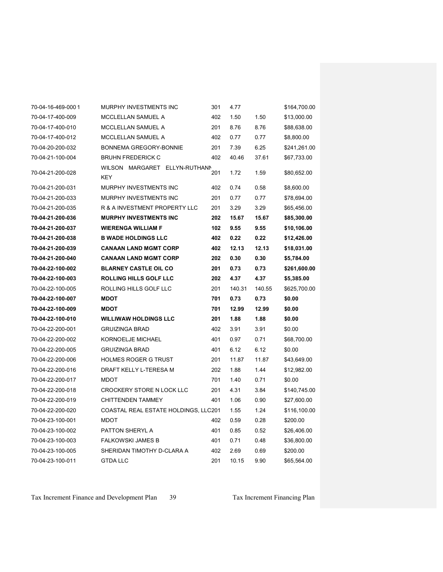| 70-04-16-469-000 1 | MURPHY INVESTMENTS INC                      | 301 | 4.77   |        | \$164,700.00 |
|--------------------|---------------------------------------------|-----|--------|--------|--------------|
| 70-04-17-400-009   | MCCLELLAN SAMUEL A                          | 402 | 1.50   | 1.50   | \$13,000.00  |
| 70-04-17-400-010   | MCCLELLAN SAMUEL A                          | 201 | 8.76   | 8.76   | \$88,638.00  |
| 70-04-17-400-012   | <b>MCCLELLAN SAMUEL A</b>                   | 402 | 0.77   | 0.77   | \$8,800.00   |
| 70-04-20-200-032   | BONNEMA GREGORY-BONNIE                      | 201 | 7.39   | 6.25   | \$241,261.00 |
| 70-04-21-100-004   | <b>BRUHN FREDERICK C</b>                    | 402 | 40.46  | 37.61  | \$67,733.00  |
| 70-04-21-200-028   | WILSON MARGARET ELLYN-RUTHANN<br><b>KEY</b> | 201 | 1.72   | 1.59   | \$80,652.00  |
| 70-04-21-200-031   | MURPHY INVESTMENTS INC                      | 402 | 0.74   | 0.58   | \$8,600.00   |
| 70-04-21-200-033   | MURPHY INVESTMENTS INC                      | 201 | 0.77   | 0.77   | \$78,694.00  |
| 70-04-21-200-035   | R & A INVESTMENT PROPERTY LLC               | 201 | 3.29   | 3.29   | \$65,456.00  |
| 70-04-21-200-036   | <b>MURPHY INVESTMENTS INC</b>               | 202 | 15.67  | 15.67  | \$85,300.00  |
| 70-04-21-200-037   | <b>WIERENGA WILLIAM F</b>                   | 102 | 9.55   | 9.55   | \$10,106.00  |
| 70-04-21-200-038   | <b>B WADE HOLDINGS LLC</b>                  | 402 | 0.22   | 0.22   | \$12,426.00  |
| 70-04-21-200-039   | <b>CANAAN LAND MGMT CORP</b>                | 402 | 12.13  | 12.13  | \$18,031.00  |
| 70-04-21-200-040   | <b>CANAAN LAND MGMT CORP</b>                | 202 | 0.30   | 0.30   | \$5,784.00   |
| 70-04-22-100-002   | <b>BLARNEY CASTLE OIL CO</b>                | 201 | 0.73   | 0.73   | \$261,600.00 |
| 70-04-22-100-003   | ROLLING HILLS GOLF LLC                      | 202 | 4.37   | 4.37   | \$5,385.00   |
| 70-04-22-100-005   | ROLLING HILLS GOLF LLC                      | 201 | 140.31 | 140.55 | \$625,700.00 |
| 70-04-22-100-007   | <b>MDOT</b>                                 | 701 | 0.73   | 0.73   | \$0.00       |
| 70-04-22-100-009   | <b>MDOT</b>                                 | 701 | 12.99  | 12.99  | \$0.00       |
| 70-04-22-100-010   | <b>WILLIWAW HOLDINGS LLC</b>                | 201 | 1.88   | 1.88   | \$0.00       |
| 70-04-22-200-001   | <b>GRUIZINGA BRAD</b>                       | 402 | 3.91   | 3.91   | \$0.00       |
| 70-04-22-200-002   | KORNOELJE MICHAEL                           | 401 | 0.97   | 0.71   | \$68,700.00  |
| 70-04-22-200-005   | <b>GRUIZINGA BRAD</b>                       | 401 | 6.12   | 6.12   | \$0.00       |
| 70-04-22-200-006   | <b>HOLMES ROGER G TRUST</b>                 | 201 | 11.87  | 11.87  | \$43,649.00  |
| 70-04-22-200-016   | DRAFT KELLY L-TERESA M                      | 202 | 1.88   | 1.44   | \$12,982.00  |
| 70-04-22-200-017   | <b>MDOT</b>                                 | 701 | 1.40   | 0.71   | \$0.00       |
| 70-04-22-200-018   | CROCKERY STORE N LOCK LLC                   | 201 | 4.31   | 3.84   | \$140,745.00 |
| 70-04-22-200-019   | <b>CHITTENDEN TAMMEY</b>                    | 401 | 1.06   | 0.90   | \$27,600.00  |
| 70-04-22-200-020   | COASTAL REAL ESTATE HOLDINGS, LLC201        |     | 1.55   | 1.24   | \$116,100.00 |
| 70-04-23-100-001   | MDOT                                        | 402 | 0.59   | 0.28   | \$200.00     |
| 70-04-23-100-002   | PATTON SHERYL A                             | 401 | 0.85   | 0.52   | \$26,406.00  |
| 70-04-23-100-003   | <b>FALKOWSKI JAMES B</b>                    | 401 | 0.71   | 0.48   | \$36,800.00  |
| 70-04-23-100-005   | SHERIDAN TIMOTHY D-CLARA A                  | 402 | 2.69   | 0.69   | \$200.00     |
|                    |                                             |     |        |        |              |

Tax Increment Finance and Development Plan 39 Tax Increment Financing Plan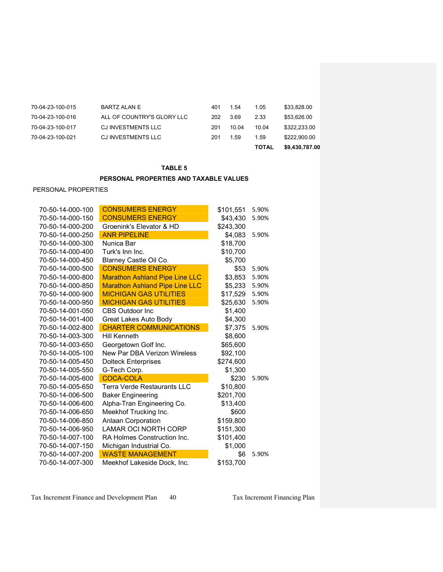|                  |                            |     |       | TOTAL | \$9,430,787.00 |
|------------------|----------------------------|-----|-------|-------|----------------|
| 70-04-23-100-021 | CJ INVESTMENTS LLC         | 201 | 1.59  | 1.59  | \$222,900.00   |
| 70-04-23-100-017 | CJ INVESTMENTS LLC         | 201 | 10.04 | 10.04 | \$322.233.00   |
| 70-04-23-100-016 | ALL OF COUNTRY'S GLORY LLC | 202 | 3.69  | 2.33  | \$53.626.00    |
| 70-04-23-100-015 | BARTZ ALAN E               | 401 | 1.54  | 1.05  | \$33.828.00    |

# TABLE 5

# PERSONAL PROPERTIES AND TAXABLE VALUES

# PERSONAL PROPERTIES

| 70-50-14-000-100 | <b>CONSUMERS ENERGY</b>               | \$101,551 | 5.90% |
|------------------|---------------------------------------|-----------|-------|
| 70-50-14-000-150 | <b>CONSUMERS ENERGY</b>               | \$43,430  | 5.90% |
| 70-50-14-000-200 | Groenink's Elevator & HD              | \$243,300 |       |
| 70-50-14-000-250 | <b>ANR PIPELINE</b>                   | \$4,083   | 5.90% |
| 70-50-14-000-300 | Nunica Bar                            | \$18,700  |       |
| 70-50-14-000-400 | Turk's Inn Inc.                       | \$10,700  |       |
| 70-50-14-000-450 | Blarney Castle Oil Co.                | \$5,700   |       |
| 70-50-14-000-500 | <b>CONSUMERS ENERGY</b>               | \$53      | 5.90% |
| 70-50-14-000-800 | <b>Marathon Ashland Pipe Line LLC</b> | \$3,853   | 5.90% |
| 70-50-14-000-850 | <b>Marathon Ashland Pipe Line LLC</b> | \$5,233   | 5.90% |
| 70-50-14-000-900 | <b>MICHIGAN GAS UTILITIES</b>         | \$17,529  | 5.90% |
| 70-50-14-000-950 | <b>MICHIGAN GAS UTILITIES</b>         | \$25,630  | 5.90% |
| 70-50-14-001-050 | <b>CBS Outdoor Inc.</b>               | \$1,400   |       |
| 70-50-14-001-400 | Great Lakes Auto Body                 | \$4,300   |       |
| 70-50-14-002-800 | <b>CHARTER COMMUNICATIONS</b>         | \$7,375   | 5.90% |
| 70-50-14-003-300 | <b>Hill Kenneth</b>                   | \$8,600   |       |
| 70-50-14-003-650 | Georgetown Golf Inc.                  | \$65,600  |       |
| 70-50-14-005-100 | New Par DBA Verizon Wireless          | \$92,100  |       |
| 70-50-14-005-450 | <b>Dolteck Enterprises</b>            | \$274,600 |       |
| 70-50-14-005-550 | G-Tech Corp.                          | \$1,300   |       |
| 70-50-14-005-600 | <b>COCA-COLA</b>                      | \$230     | 5.90% |
| 70-50-14-005-650 | <b>Terra Verde Restaurants LLC</b>    | \$10,800  |       |
| 70-50-14-006-500 | <b>Baker Engineering</b>              | \$201,700 |       |
| 70-50-14-006-600 | Alpha-Tran Engineering Co.            | \$13,400  |       |
| 70-50-14-006-650 | Meekhof Trucking Inc.                 | \$600     |       |
| 70-50-14-006-850 | <b>Anlaan Corporation</b>             | \$159,800 |       |
| 70-50-14-006-950 | <b>LAMAR OCI NORTH CORP</b>           | \$151,300 |       |
| 70-50-14-007-100 | RA Holmes Construction Inc.           | \$101,400 |       |
| 70-50-14-007-150 | Michigan Industrial Co.               | \$1,000   |       |
| 70-50-14-007-200 | <b>WASTE MANAGEMENT</b>               | \$6       | 5.90% |
| 70-50-14-007-300 | Meekhof Lakeside Dock, Inc.           | \$153,700 |       |

Tax Increment Finance and Development Plan 40 Tax Increment Financing Plan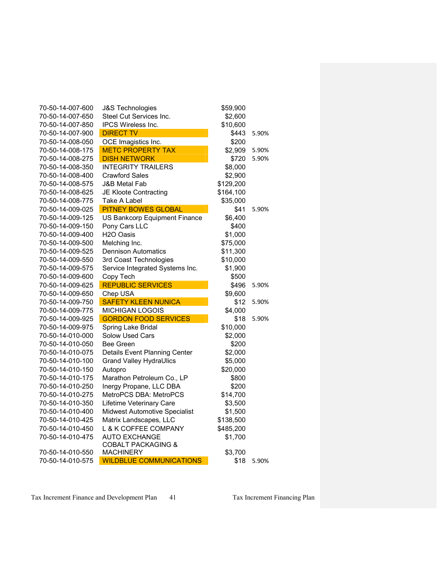| 70-50-14-007-600 | <b>J&amp;S Technologies</b>     | \$59,900  |       |
|------------------|---------------------------------|-----------|-------|
| 70-50-14-007-650 | Steel Cut Services Inc.         | \$2,600   |       |
| 70-50-14-007-850 | IPCS Wireless Inc.              | \$10,600  |       |
| 70-50-14-007-900 | <b>DIRECT TV</b>                | \$443     | 5.90% |
| 70-50-14-008-050 | OCE Imagistics Inc.             | \$200     |       |
| 70-50-14-008-175 | <b>METC PROPERTY TAX</b>        | \$2,909   | 5.90% |
| 70-50-14-008-275 | <b>DISH NETWORK</b>             | \$720     | 5.90% |
| 70-50-14-008-350 | <b>INTEGRITY TRAILERS</b>       | \$8,000   |       |
| 70-50-14-008-400 | <b>Crawford Sales</b>           | \$2,900   |       |
| 70-50-14-008-575 | J&B Metal Fab                   | \$129,200 |       |
| 70-50-14-008-625 | <b>JE Kloote Contracting</b>    | \$164,100 |       |
| 70-50-14-008-775 | Take A Label                    | \$35,000  |       |
| 70-50-14-009-025 | <b>PITNEY BOWES GLOBAL</b>      | \$41      | 5.90% |
| 70-50-14-009-125 | US Bankcorp Equipment Finance   | \$6,400   |       |
| 70-50-14-009-150 | Pony Cars LLC                   | \$400     |       |
| 70-50-14-009-400 | H <sub>2</sub> O Oasis          | \$1,000   |       |
| 70-50-14-009-500 | Melching Inc.                   | \$75,000  |       |
| 70-50-14-009-525 | <b>Dennison Automatics</b>      | \$11,300  |       |
| 70-50-14-009-550 | 3rd Coast Technologies          | \$10,000  |       |
| 70-50-14-009-575 | Service Integrated Systems Inc. | \$1,900   |       |
| 70-50-14-009-600 | Copy Tech                       | \$500     |       |
| 70-50-14-009-625 | <b>REPUBLIC SERVICES</b>        | \$496     | 5.90% |
| 70-50-14-009-650 | Chep USA                        | \$9,600   |       |
| 70-50-14-009-750 | <b>SAFETY KLEEN NUNICA</b>      | \$12      | 5.90% |
| 70-50-14-009-775 | <b>MICHIGAN LOGOIS</b>          | \$4,000   |       |
| 70-50-14-009-925 | <b>GORDON FOOD SERVICES</b>     | \$18      | 5.90% |
| 70-50-14-009-975 | Spring Lake Bridal              | \$10,000  |       |
| 70-50-14-010-000 | <b>Solow Used Cars</b>          | \$2,000   |       |
| 70-50-14-010-050 | <b>Bee Green</b>                | \$200     |       |
| 70-50-14-010-075 | Details Event Planning Center   | \$2,000   |       |
| 70-50-14-010-100 | <b>Grand Valley HydraUlics</b>  | \$5,000   |       |
| 70-50-14-010-150 | Autopro                         | \$20,000  |       |
| 70-50-14-010-175 | Marathon Petroleum Co., LP      | \$800     |       |
| 70-50-14-010-250 | Inergy Propane, LLC DBA         | \$200     |       |
| 70-50-14-010-275 | MetroPCS DBA: MetroPCS          | \$14,700  |       |
| 70-50-14-010-350 | Lifetime Veterinary Care        | \$3,500   |       |
| 70-50-14-010-400 | Midwest Automotive Specialist   | \$1,500   |       |
| 70-50-14-010-425 | Matrix Landscapes, LLC          | \$138,500 |       |
| 70-50-14-010-450 | L & K COFFEE COMPANY            | \$485,200 |       |
| 70-50-14-010-475 | <b>AUTO EXCHANGE</b>            | \$1,700   |       |
|                  | <b>COBALT PACKAGING &amp;</b>   |           |       |
| 70-50-14-010-550 | <b>MACHINERY</b>                | \$3,700   |       |
| 70-50-14-010-575 | <b>WILDBLUE COMMUNICATIONS</b>  | \$18      | 5.90% |

Tax Increment Finance and Development Plan 41 Tax Increment Financing Plan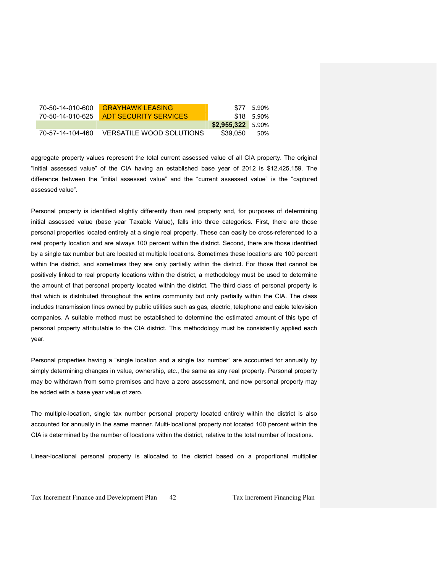| 70-50-14-010-600 | <b>GRAYHAWK LEASING</b>  |                   | \$77 5.90% |
|------------------|--------------------------|-------------------|------------|
| 70-50-14-010-625 | ADT SECURITY SERVICES    |                   | \$18 5.90% |
|                  |                          | \$2,955,322 5.90% |            |
| 70-57-14-104-460 | VERSATILE WOOD SOLUTIONS | \$39.050          | .50%       |

aggregate property values represent the total current assessed value of all CIA property. The original "initial assessed value" of the CIA having an established base year of 2012 is \$12,425,159. The difference between the "initial assessed value" and the "current assessed value" is the "captured assessed value".

Personal property is identified slightly differently than real property and, for purposes of determining initial assessed value (base year Taxable Value), falls into three categories. First, there are those personal properties located entirely at a single real property. These can easily be cross-referenced to a real property location and are always 100 percent within the district. Second, there are those identified by a single tax number but are located at multiple locations. Sometimes these locations are 100 percent within the district, and sometimes they are only partially within the district. For those that cannot be positively linked to real property locations within the district, a methodology must be used to determine the amount of that personal property located within the district. The third class of personal property is that which is distributed throughout the entire community but only partially within the CIA. The class includes transmission lines owned by public utilities such as gas, electric, telephone and cable television companies. A suitable method must be established to determine the estimated amount of this type of personal property attributable to the CIA district. This methodology must be consistently applied each year.

Personal properties having a "single location and a single tax number" are accounted for annually by simply determining changes in value, ownership, etc., the same as any real property. Personal property may be withdrawn from some premises and have a zero assessment, and new personal property may be added with a base year value of zero.

The multiple-location, single tax number personal property located entirely within the district is also accounted for annually in the same manner. Multi-locational property not located 100 percent within the CIA is determined by the number of locations within the district, relative to the total number of locations.

Linear-locational personal property is allocated to the district based on a proportional multiplier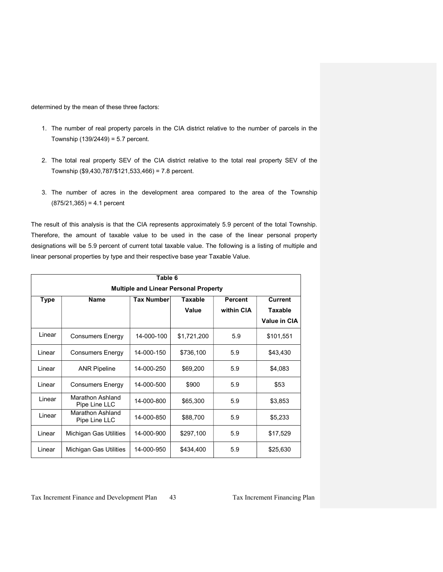determined by the mean of these three factors:

- 1. The number of real property parcels in the CIA district relative to the number of parcels in the Township (139/2449) = 5.7 percent.
- 2. The total real property SEV of the CIA district relative to the total real property SEV of the Township (\$9,430,787/\$121,533,466) = 7.8 percent.
- 3. The number of acres in the development area compared to the area of the Township  $(875/21,365) = 4.1$  percent

The result of this analysis is that the CIA represents approximately 5.9 percent of the total Township. Therefore, the amount of taxable value to be used in the case of the linear personal property designations will be 5.9 percent of current total taxable value. The following is a listing of multiple and linear personal properties by type and their respective base year Taxable Value.

| Table 6                                      |                                   |            |                |                |                     |  |
|----------------------------------------------|-----------------------------------|------------|----------------|----------------|---------------------|--|
| <b>Multiple and Linear Personal Property</b> |                                   |            |                |                |                     |  |
| <b>Type</b>                                  | <b>Tax Number</b><br><b>Name</b>  |            | <b>Taxable</b> | <b>Percent</b> | Current             |  |
|                                              |                                   |            | Value          | within CIA     | Taxable             |  |
|                                              |                                   |            |                |                | <b>Value in CIA</b> |  |
| I inear                                      | <b>Consumers Energy</b>           | 14-000-100 | \$1,721,200    | 5.9            | \$101,551           |  |
| I inear                                      | <b>Consumers Energy</b>           | 14-000-150 | \$736,100      | 5.9            | \$43,430            |  |
| I inear                                      | <b>ANR Pipeline</b>               | 14-000-250 | \$69,200       | 5.9            | \$4,083             |  |
| Linear                                       | <b>Consumers Energy</b>           | 14-000-500 | \$900          | 5.9            | \$53                |  |
| I inear                                      | Marathon Ashland<br>Pipe Line LLC | 14-000-800 | \$65,300       | 5.9            | \$3,853             |  |
| Linear                                       | Marathon Ashland<br>Pipe Line LLC | 14-000-850 | \$88,700       | 5.9            | \$5,233             |  |
| I inear                                      | Michigan Gas Utilities            | 14-000-900 | \$297,100      | 5.9            | \$17,529            |  |
| Linear                                       | Michigan Gas Utilities            | 14-000-950 | \$434,400      | 5.9            | \$25,630            |  |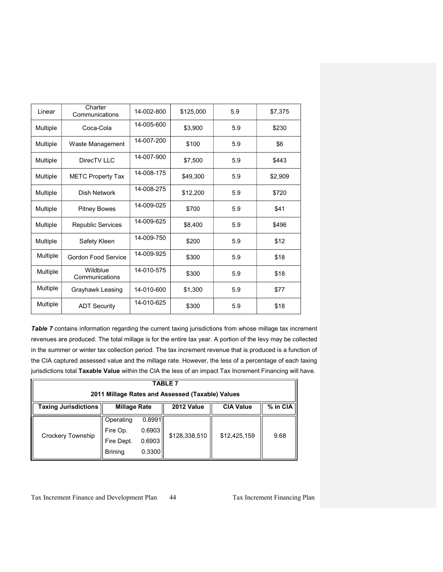| Linear   | Charter<br>Communications  | 14-002-800 | \$125,000 | 5.9 | \$7,375 |
|----------|----------------------------|------------|-----------|-----|---------|
| Multiple | Coca-Cola                  | 14-005-600 | \$3,900   | 5.9 | \$230   |
| Multiple | Waste Management           | 14-007-200 | \$100     | 5.9 | \$6     |
| Multiple | DirecTV I I C              | 14-007-900 | \$7,500   | 5.9 | \$443   |
| Multiple | <b>METC Property Tax</b>   | 14-008-175 | \$49,300  | 5.9 | \$2,909 |
| Multiple | Dish Network               | 14-008-275 | \$12,200  | 5.9 | \$720   |
| Multiple | <b>Pitney Bowes</b>        | 14-009-025 | \$700     | 5.9 | \$41    |
| Multiple | <b>Republic Services</b>   | 14-009-625 | \$8,400   | 5.9 | \$496   |
| Multiple | Safety Kleen               | 14-009-750 | \$200     | 5.9 | \$12    |
| Multiple | Gordon Food Service        | 14-009-925 | \$300     | 5.9 | \$18    |
| Multiple | Wildblue<br>Communications | 14-010-575 | \$300     | 5.9 | \$18    |
| Multiple | Grayhawk Leasing           | 14-010-600 | \$1,300   | 5.9 | \$77    |
| Multiple | <b>ADT Security</b>        | 14-010-625 | \$300     | 5.9 | \$18    |

Table 7 contains information regarding the current taxing jurisdictions from whose millage tax increment revenues are produced. The total millage is for the entire tax year. A portion of the levy may be collected in the summer or winter tax collection period. The tax increment revenue that is produced is a function of the CIA captured assessed value and the millage rate. However, the less of a percentage of each taxing jurisdictions total Taxable Value within the CIA the less of an impact Tax Increment Financing will have.

| <b>TABLE 7</b><br>2011 Millage Rates and Assessed (Taxable) Values |                |        |               |                  |          |
|--------------------------------------------------------------------|----------------|--------|---------------|------------------|----------|
| <b>Taxing Jurisdictions</b><br><b>Millage Rate</b>                 |                |        | 2012 Value    | <b>CIA Value</b> | % in CIA |
|                                                                    | Operating      | 0.8991 | \$128,338,510 | \$12,425,159     | 9.68     |
| Crockery Township                                                  | Fire Op.       | 0.6903 |               |                  |          |
|                                                                    | Fire Dept.     | 0.6903 |               |                  |          |
|                                                                    | <b>Brining</b> | 0.3300 |               |                  |          |

Tax Increment Finance and Development Plan 44 Tax Increment Financing Plan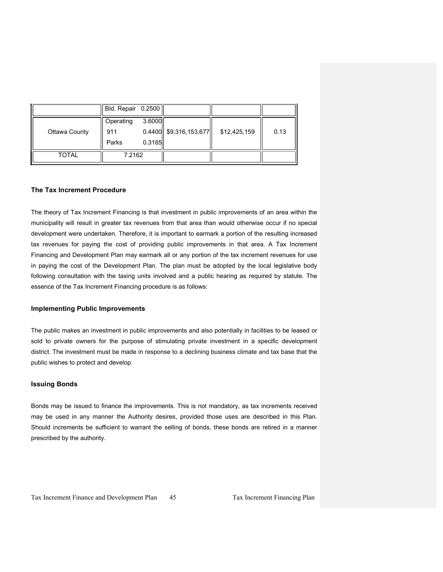|               | Bld. Repair 0.2500 |        |                          |              |      |
|---------------|--------------------|--------|--------------------------|--------------|------|
|               | Operating          | 3.6000 |                          |              |      |
| Ottawa County | 911                |        | 0.4400   \$9,316,153,677 | \$12,425,159 | 0.13 |
|               | Parks              | 0.3165 |                          |              |      |
| <b>TOTAL</b>  | 7.2162             |        |                          |              |      |

### The Tax Increment Procedure

The theory of Tax Increment Financing is that investment in public improvements of an area within the municipality will result in greater tax revenues from that area than would otherwise occur if no special development were undertaken. Therefore, it is important to earmark a portion of the resulting increased tax revenues for paying the cost of providing public improvements in that area. A Tax Increment Financing and Development Plan may earmark all or any portion of the tax increment revenues for use in paying the cost of the Development Plan. The plan must be adopted by the local legislative body following consultation with the taxing units involved and a public hearing as required by statute. The essence of the Tax Increment Financing procedure is as follows:

#### Implementing Public Improvements

The public makes an investment in public improvements and also potentially in facilities to be leased or sold to private owners for the purpose of stimulating private investment in a specific development district. The investment must be made in response to a declining business climate and tax base that the public wishes to protect and develop.

#### Issuing Bonds

Bonds may be issued to finance the improvements. This is not mandatory, as tax increments received may be used in any manner the Authority desires, provided those uses are described in this Plan. Should increments be sufficient to warrant the selling of bonds, these bonds are retired in a manner prescribed by the authority.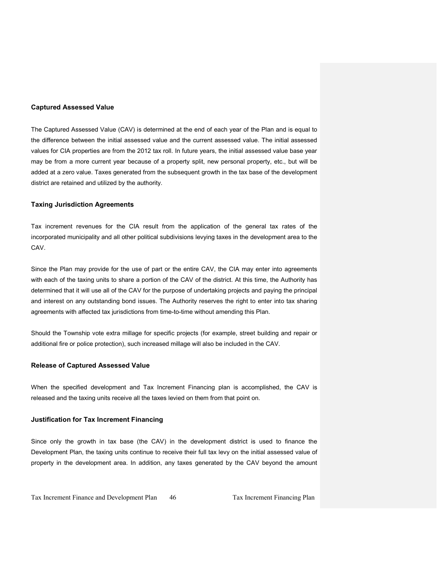#### Captured Assessed Value

The Captured Assessed Value (CAV) is determined at the end of each year of the Plan and is equal to the difference between the initial assessed value and the current assessed value. The initial assessed values for CIA properties are from the 2012 tax roll. In future years, the initial assessed value base year may be from a more current year because of a property split, new personal property, etc., but will be added at a zero value. Taxes generated from the subsequent growth in the tax base of the development district are retained and utilized by the authority.

#### Taxing Jurisdiction Agreements

Tax increment revenues for the CIA result from the application of the general tax rates of the incorporated municipality and all other political subdivisions levying taxes in the development area to the CAV.

Since the Plan may provide for the use of part or the entire CAV, the CIA may enter into agreements with each of the taxing units to share a portion of the CAV of the district. At this time, the Authority has determined that it will use all of the CAV for the purpose of undertaking projects and paying the principal and interest on any outstanding bond issues. The Authority reserves the right to enter into tax sharing agreements with affected tax jurisdictions from time-to-time without amending this Plan.

Should the Township vote extra millage for specific projects (for example, street building and repair or additional fire or police protection), such increased millage will also be included in the CAV.

#### Release of Captured Assessed Value

When the specified development and Tax Increment Financing plan is accomplished, the CAV is released and the taxing units receive all the taxes levied on them from that point on.

#### Justification for Tax Increment Financing

Since only the growth in tax base (the CAV) in the development district is used to finance the Development Plan, the taxing units continue to receive their full tax levy on the initial assessed value of property in the development area. In addition, any taxes generated by the CAV beyond the amount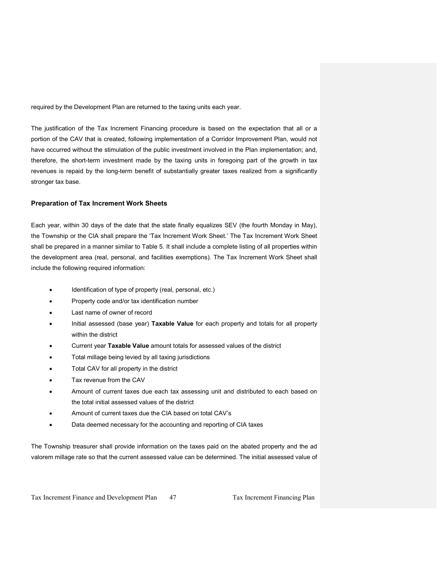required by the Development Plan are returned to the taxing units each year.

The justification of the Tax Increment Financing procedure is based on the expectation that all or a portion of the CAV that is created, following implementation of a Corridor Improvement Plan, would not have occurred without the stimulation of the public investment involved in the Plan implementation; and, therefore, the short-term investment made by the taxing units in foregoing part of the growth in tax revenues is repaid by the long-term benefit of substantially greater taxes realized from a significantly stronger tax base.

#### Preparation of Tax Increment Work Sheets

Each year, within 30 days of the date that the state finally equalizes SEV (the fourth Monday in May), the Township or the CIA shall prepare the 'Tax Increment Work Sheet.' The Tax Increment Work Sheet shall be prepared in a manner similar to Table 5. It shall include a complete listing of all properties within the development area (real, personal, and facilities exemptions). The Tax Increment Work Sheet shall include the following required information:

- Identification of type of property (real, personal, etc.)
- Property code and/or tax identification number
- Last name of owner of record
- Initial assessed (base year) Taxable Value for each property and totals for all property within the district
- Current year Taxable Value amount totals for assessed values of the district
- Total millage being levied by all taxing jurisdictions
- Total CAV for all property in the district
- Tax revenue from the CAV
- Amount of current taxes due each tax assessing unit and distributed to each based on the total initial assessed values of the district
- Amount of current taxes due the CIA based on total CAV's
- Data deemed necessary for the accounting and reporting of CIA taxes

The Township treasurer shall provide information on the taxes paid on the abated property and the ad valorem millage rate so that the current assessed value can be determined. The initial assessed value of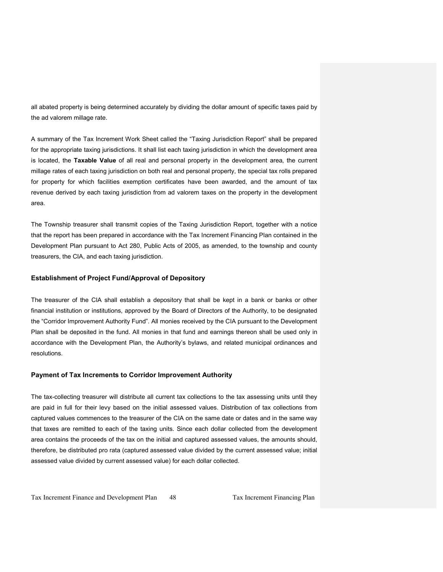all abated property is being determined accurately by dividing the dollar amount of specific taxes paid by the ad valorem millage rate.

A summary of the Tax Increment Work Sheet called the "Taxing Jurisdiction Report" shall be prepared for the appropriate taxing jurisdictions. It shall list each taxing jurisdiction in which the development area is located, the Taxable Value of all real and personal property in the development area, the current millage rates of each taxing jurisdiction on both real and personal property, the special tax rolls prepared for property for which facilities exemption certificates have been awarded, and the amount of tax revenue derived by each taxing jurisdiction from ad valorem taxes on the property in the development area.

The Township treasurer shall transmit copies of the Taxing Jurisdiction Report, together with a notice that the report has been prepared in accordance with the Tax Increment Financing Plan contained in the Development Plan pursuant to Act 280, Public Acts of 2005, as amended, to the township and county treasurers, the CIA, and each taxing jurisdiction.

#### Establishment of Project Fund/Approval of Depository

The treasurer of the CIA shall establish a depository that shall be kept in a bank or banks or other financial institution or institutions, approved by the Board of Directors of the Authority, to be designated the "Corridor Improvement Authority Fund". All monies received by the CIA pursuant to the Development Plan shall be deposited in the fund. All monies in that fund and earnings thereon shall be used only in accordance with the Development Plan, the Authority's bylaws, and related municipal ordinances and resolutions.

#### Payment of Tax Increments to Corridor Improvement Authority

The tax-collecting treasurer will distribute all current tax collections to the tax assessing units until they are paid in full for their levy based on the initial assessed values. Distribution of tax collections from captured values commences to the treasurer of the CIA on the same date or dates and in the same way that taxes are remitted to each of the taxing units. Since each dollar collected from the development area contains the proceeds of the tax on the initial and captured assessed values, the amounts should, therefore, be distributed pro rata (captured assessed value divided by the current assessed value; initial assessed value divided by current assessed value) for each dollar collected.

Tax Increment Finance and Development Plan 48 Tax Increment Financing Plan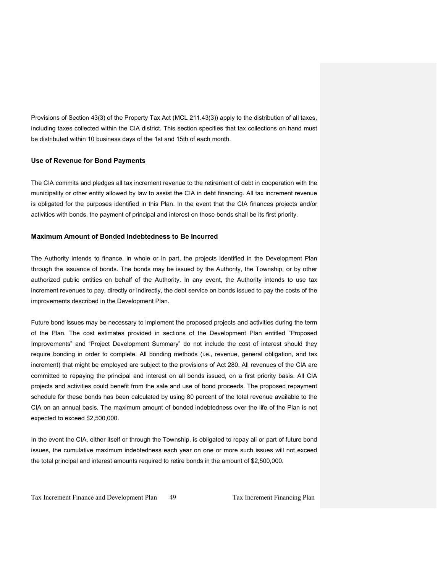Provisions of Section 43(3) of the Property Tax Act (MCL 211.43(3)) apply to the distribution of all taxes, including taxes collected within the CIA district. This section specifies that tax collections on hand must be distributed within 10 business days of the 1st and 15th of each month.

#### Use of Revenue for Bond Payments

The CIA commits and pledges all tax increment revenue to the retirement of debt in cooperation with the municipality or other entity allowed by law to assist the CIA in debt financing. All tax increment revenue is obligated for the purposes identified in this Plan. In the event that the CIA finances projects and/or activities with bonds, the payment of principal and interest on those bonds shall be its first priority.

#### Maximum Amount of Bonded Indebtedness to Be Incurred

The Authority intends to finance, in whole or in part, the projects identified in the Development Plan through the issuance of bonds. The bonds may be issued by the Authority, the Township, or by other authorized public entities on behalf of the Authority. In any event, the Authority intends to use tax increment revenues to pay, directly or indirectly, the debt service on bonds issued to pay the costs of the improvements described in the Development Plan.

Future bond issues may be necessary to implement the proposed projects and activities during the term of the Plan. The cost estimates provided in sections of the Development Plan entitled "Proposed Improvements" and "Project Development Summary" do not include the cost of interest should they require bonding in order to complete. All bonding methods (i.e., revenue, general obligation, and tax increment) that might be employed are subject to the provisions of Act 280. All revenues of the CIA are committed to repaying the principal and interest on all bonds issued, on a first priority basis. All CIA projects and activities could benefit from the sale and use of bond proceeds. The proposed repayment schedule for these bonds has been calculated by using 80 percent of the total revenue available to the CIA on an annual basis. The maximum amount of bonded indebtedness over the life of the Plan is not expected to exceed \$2,500,000.

In the event the CIA, either itself or through the Township, is obligated to repay all or part of future bond issues, the cumulative maximum indebtedness each year on one or more such issues will not exceed the total principal and interest amounts required to retire bonds in the amount of \$2,500,000.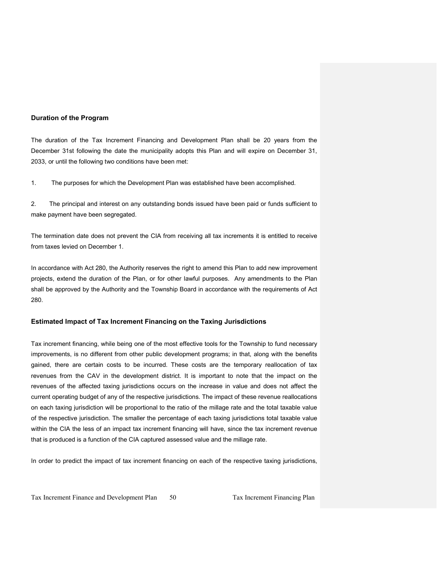#### Duration of the Program

The duration of the Tax Increment Financing and Development Plan shall be 20 years from the December 31st following the date the municipality adopts this Plan and will expire on December 31, 2033, or until the following two conditions have been met:

1. The purposes for which the Development Plan was established have been accomplished.

2. The principal and interest on any outstanding bonds issued have been paid or funds sufficient to make payment have been segregated.

The termination date does not prevent the CIA from receiving all tax increments it is entitled to receive from taxes levied on December 1.

In accordance with Act 280, the Authority reserves the right to amend this Plan to add new improvement projects, extend the duration of the Plan, or for other lawful purposes. Any amendments to the Plan shall be approved by the Authority and the Township Board in accordance with the requirements of Act 280.

#### Estimated Impact of Tax Increment Financing on the Taxing Jurisdictions

Tax increment financing, while being one of the most effective tools for the Township to fund necessary improvements, is no different from other public development programs; in that, along with the benefits gained, there are certain costs to be incurred. These costs are the temporary reallocation of tax revenues from the CAV in the development district. It is important to note that the impact on the revenues of the affected taxing jurisdictions occurs on the increase in value and does not affect the current operating budget of any of the respective jurisdictions. The impact of these revenue reallocations on each taxing jurisdiction will be proportional to the ratio of the millage rate and the total taxable value of the respective jurisdiction. The smaller the percentage of each taxing jurisdictions total taxable value within the CIA the less of an impact tax increment financing will have, since the tax increment revenue that is produced is a function of the CIA captured assessed value and the millage rate.

In order to predict the impact of tax increment financing on each of the respective taxing jurisdictions,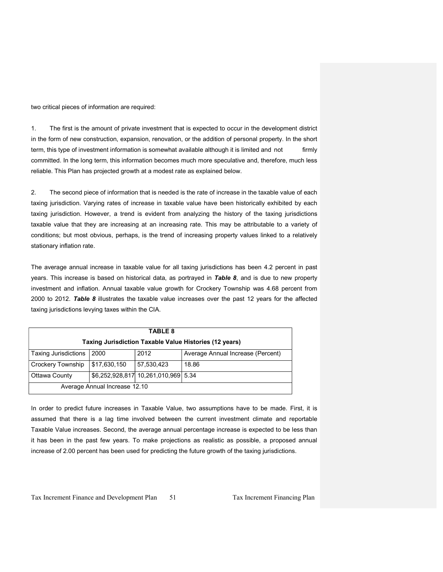two critical pieces of information are required:

1. The first is the amount of private investment that is expected to occur in the development district in the form of new construction, expansion, renovation, or the addition of personal property. In the short term, this type of investment information is somewhat available although it is limited and not firmly committed. In the long term, this information becomes much more speculative and, therefore, much less reliable. This Plan has projected growth at a modest rate as explained below.

2. The second piece of information that is needed is the rate of increase in the taxable value of each taxing jurisdiction. Varying rates of increase in taxable value have been historically exhibited by each taxing jurisdiction. However, a trend is evident from analyzing the history of the taxing jurisdictions taxable value that they are increasing at an increasing rate. This may be attributable to a variety of conditions; but most obvious, perhaps, is the trend of increasing property values linked to a relatively stationary inflation rate.

The average annual increase in taxable value for all taxing jurisdictions has been 4.2 percent in past years. This increase is based on historical data, as portrayed in Table 8, and is due to new property investment and inflation. Annual taxable value growth for Crockery Township was 4.68 percent from 2000 to 2012. Table 8 illustrates the taxable value increases over the past 12 years for the affected taxing jurisdictions levying taxes within the CIA.

| <b>TABLE 8</b>                                                |              |                                     |                                   |  |  |
|---------------------------------------------------------------|--------------|-------------------------------------|-----------------------------------|--|--|
| <b>Taxing Jurisdiction Taxable Value Histories (12 years)</b> |              |                                     |                                   |  |  |
| <b>Taxing Jurisdictions</b>                                   | 2000         | 2012                                | Average Annual Increase (Percent) |  |  |
| Crockery Township                                             | \$17,630,150 | 57,530,423                          | 18.86                             |  |  |
| Ottawa County                                                 |              | \$6,252,928,817 10,261,010,969 5.34 |                                   |  |  |
| Average Annual Increase 12.10                                 |              |                                     |                                   |  |  |

In order to predict future increases in Taxable Value, two assumptions have to be made. First, it is assumed that there is a lag time involved between the current investment climate and reportable Taxable Value increases. Second, the average annual percentage increase is expected to be less than it has been in the past few years. To make projections as realistic as possible, a proposed annual increase of 2.00 percent has been used for predicting the future growth of the taxing jurisdictions.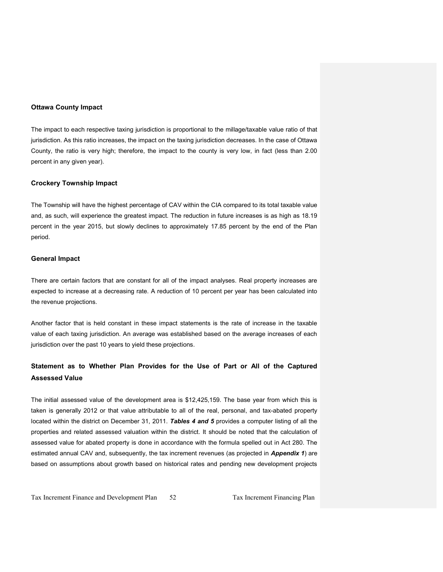#### Ottawa County Impact

The impact to each respective taxing jurisdiction is proportional to the millage/taxable value ratio of that jurisdiction. As this ratio increases, the impact on the taxing jurisdiction decreases. In the case of Ottawa County, the ratio is very high; therefore, the impact to the county is very low, in fact (less than 2.00 percent in any given year).

#### Crockery Township Impact

The Township will have the highest percentage of CAV within the CIA compared to its total taxable value and, as such, will experience the greatest impact. The reduction in future increases is as high as 18.19 percent in the year 2015, but slowly declines to approximately 17.85 percent by the end of the Plan period.

#### General Impact

There are certain factors that are constant for all of the impact analyses. Real property increases are expected to increase at a decreasing rate. A reduction of 10 percent per year has been calculated into the revenue projections.

Another factor that is held constant in these impact statements is the rate of increase in the taxable value of each taxing jurisdiction. An average was established based on the average increases of each jurisdiction over the past 10 years to yield these projections.

# Statement as to Whether Plan Provides for the Use of Part or All of the Captured Assessed Value

The initial assessed value of the development area is \$12,425,159. The base year from which this is taken is generally 2012 or that value attributable to all of the real, personal, and tax-abated property located within the district on December 31, 2011. Tables 4 and 5 provides a computer listing of all the properties and related assessed valuation within the district. It should be noted that the calculation of assessed value for abated property is done in accordance with the formula spelled out in Act 280. The estimated annual CAV and, subsequently, the tax increment revenues (as projected in Appendix 1) are based on assumptions about growth based on historical rates and pending new development projects

Tax Increment Finance and Development Plan 52 Tax Increment Financing Plan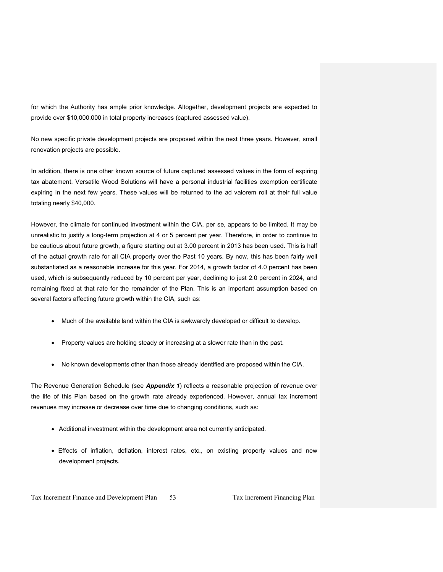for which the Authority has ample prior knowledge. Altogether, development projects are expected to provide over \$10,000,000 in total property increases (captured assessed value).

No new specific private development projects are proposed within the next three years. However, small renovation projects are possible.

In addition, there is one other known source of future captured assessed values in the form of expiring tax abatement. Versatile Wood Solutions will have a personal industrial facilities exemption certificate expiring in the next few years. These values will be returned to the ad valorem roll at their full value totaling nearly \$40,000.

However, the climate for continued investment within the CIA, per se, appears to be limited. It may be unrealistic to justify a long-term projection at 4 or 5 percent per year. Therefore, in order to continue to be cautious about future growth, a figure starting out at 3.00 percent in 2013 has been used. This is half of the actual growth rate for all CIA property over the Past 10 years. By now, this has been fairly well substantiated as a reasonable increase for this year. For 2014, a growth factor of 4.0 percent has been used, which is subsequently reduced by 10 percent per year, declining to just 2.0 percent in 2024, and remaining fixed at that rate for the remainder of the Plan. This is an important assumption based on several factors affecting future growth within the CIA, such as:

- Much of the available land within the CIA is awkwardly developed or difficult to develop.
- Property values are holding steady or increasing at a slower rate than in the past.
- No known developments other than those already identified are proposed within the CIA.

The Revenue Generation Schedule (see Appendix 1) reflects a reasonable projection of revenue over the life of this Plan based on the growth rate already experienced. However, annual tax increment revenues may increase or decrease over time due to changing conditions, such as:

- Additional investment within the development area not currently anticipated.
- Effects of inflation, deflation, interest rates, etc., on existing property values and new development projects.

Tax Increment Finance and Development Plan 53 Tax Increment Financing Plan